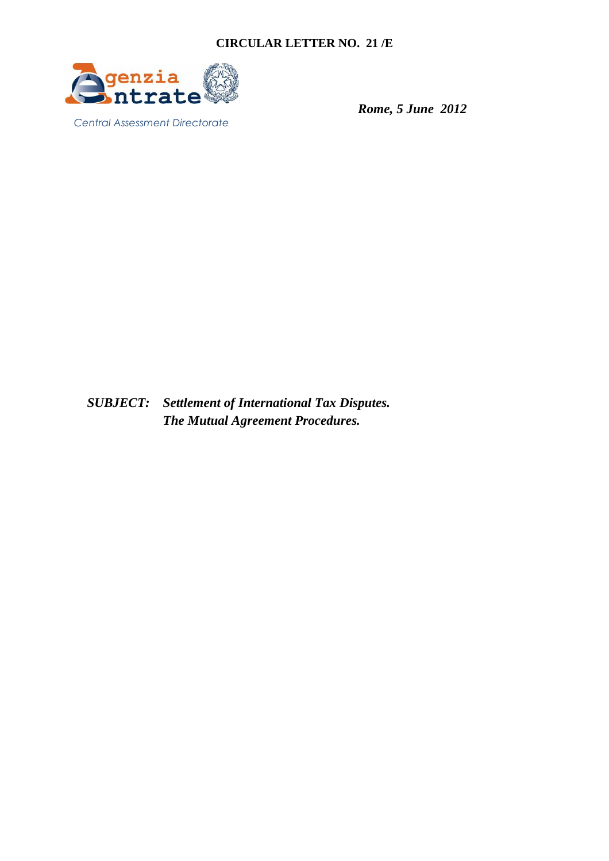

 *Rome, 5 June 2012* 

*SUBJECT: Settlement of International Tax Disputes. The Mutual Agreement Procedures.*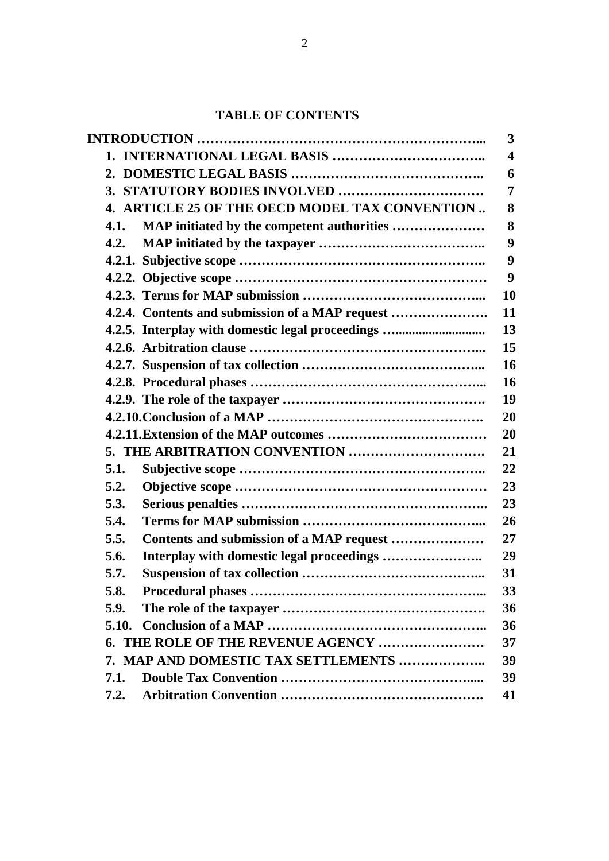# **TABLE OF CONTENTS**

|       |                                                  | 3  |
|-------|--------------------------------------------------|----|
|       |                                                  | 4  |
|       |                                                  | 6  |
|       |                                                  | 7  |
|       | 4. ARTICLE 25 OF THE OECD MODEL TAX CONVENTION   | 8  |
| 4.1.  |                                                  | 8  |
| 4.2.  |                                                  | 9  |
|       |                                                  | 9  |
|       |                                                  | 9  |
|       |                                                  | 10 |
|       | 4.2.4. Contents and submission of a MAP request  | 11 |
|       | 4.2.5. Interplay with domestic legal proceedings | 13 |
|       |                                                  | 15 |
|       |                                                  | 16 |
|       |                                                  | 16 |
|       |                                                  | 19 |
|       |                                                  | 20 |
|       |                                                  | 20 |
|       |                                                  | 21 |
| 5.1.  |                                                  | 22 |
| 5.2.  |                                                  | 23 |
| 5.3.  |                                                  | 23 |
| 5.4.  |                                                  | 26 |
| 5.5.  |                                                  | 27 |
| 5.6.  |                                                  | 29 |
| 5.7.  |                                                  | 31 |
| 5.8.  |                                                  | 33 |
| 5.9.  |                                                  | 36 |
| 5.10. |                                                  | 36 |
|       | 6. THE ROLE OF THE REVENUE AGENCY                | 37 |
|       | 7. MAP AND DOMESTIC TAX SETTLEMENTS              | 39 |
| 7.1.  |                                                  | 39 |
| 7.2.  |                                                  | 41 |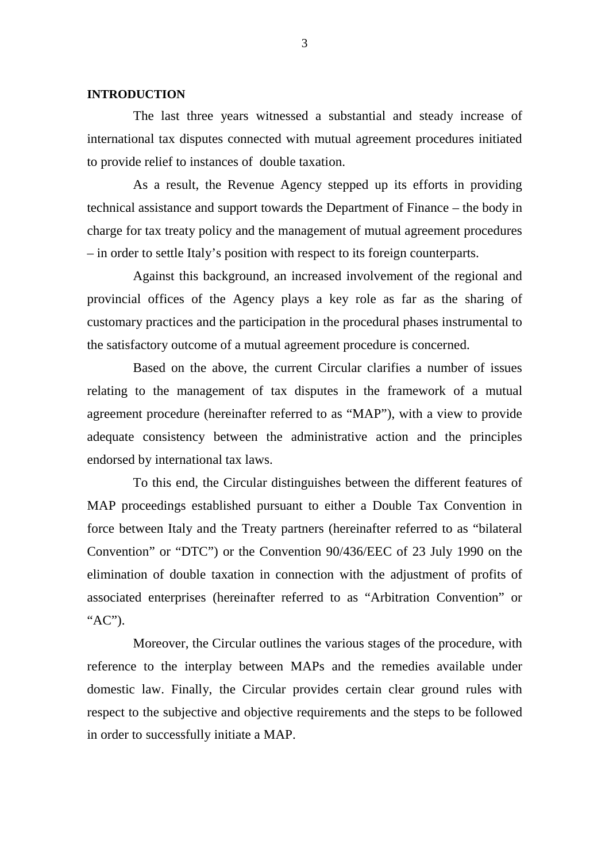#### **INTRODUCTION**

The last three years witnessed a substantial and steady increase of international tax disputes connected with mutual agreement procedures initiated to provide relief to instances of double taxation.

As a result, the Revenue Agency stepped up its efforts in providing technical assistance and support towards the Department of Finance – the body in charge for tax treaty policy and the management of mutual agreement procedures – in order to settle Italy's position with respect to its foreign counterparts.

Against this background, an increased involvement of the regional and provincial offices of the Agency plays a key role as far as the sharing of customary practices and the participation in the procedural phases instrumental to the satisfactory outcome of a mutual agreement procedure is concerned.

Based on the above, the current Circular clarifies a number of issues relating to the management of tax disputes in the framework of a mutual agreement procedure (hereinafter referred to as "MAP"), with a view to provide adequate consistency between the administrative action and the principles endorsed by international tax laws.

To this end, the Circular distinguishes between the different features of MAP proceedings established pursuant to either a Double Tax Convention in force between Italy and the Treaty partners (hereinafter referred to as "bilateral Convention" or "DTC") or the Convention 90/436/EEC of 23 July 1990 on the elimination of double taxation in connection with the adjustment of profits of associated enterprises (hereinafter referred to as "Arbitration Convention" or "AC").

Moreover, the Circular outlines the various stages of the procedure, with reference to the interplay between MAPs and the remedies available under domestic law. Finally, the Circular provides certain clear ground rules with respect to the subjective and objective requirements and the steps to be followed in order to successfully initiate a MAP.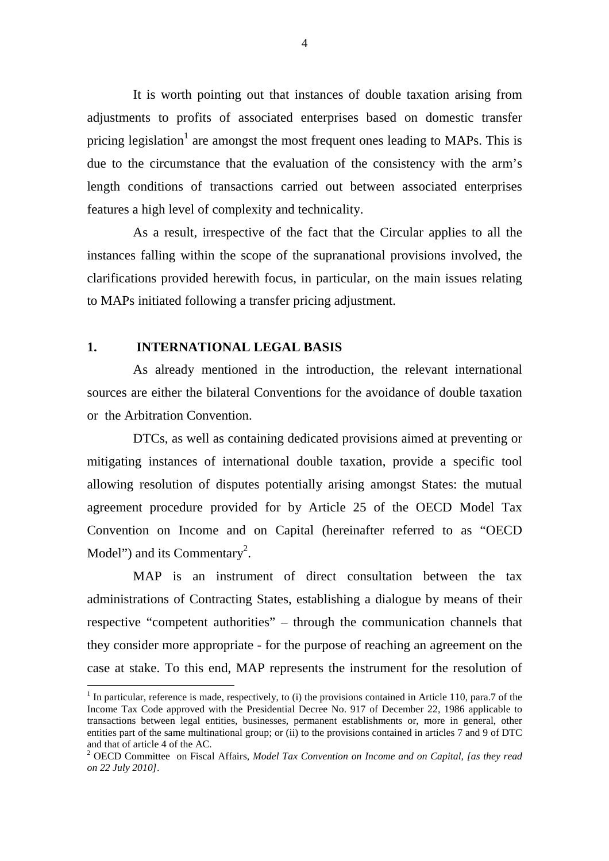It is worth pointing out that instances of double taxation arising from adjustments to profits of associated enterprises based on domestic transfer pricing legislation<sup>1</sup> are amongst the most frequent ones leading to MAPs. This is due to the circumstance that the evaluation of the consistency with the arm's length conditions of transactions carried out between associated enterprises features a high level of complexity and technicality.

As a result, irrespective of the fact that the Circular applies to all the instances falling within the scope of the supranational provisions involved, the clarifications provided herewith focus, in particular, on the main issues relating to MAPs initiated following a transfer pricing adjustment.

### **1. INTERNATIONAL LEGAL BASIS**

 $\overline{a}$ 

As already mentioned in the introduction, the relevant international sources are either the bilateral Conventions for the avoidance of double taxation or the Arbitration Convention.

DTCs, as well as containing dedicated provisions aimed at preventing or mitigating instances of international double taxation, provide a specific tool allowing resolution of disputes potentially arising amongst States: the mutual agreement procedure provided for by Article 25 of the OECD Model Tax Convention on Income and on Capital (hereinafter referred to as "OECD Model") and its Commentary<sup>2</sup>.

MAP is an instrument of direct consultation between the tax administrations of Contracting States, establishing a dialogue by means of their respective "competent authorities" – through the communication channels that they consider more appropriate - for the purpose of reaching an agreement on the case at stake. To this end, MAP represents the instrument for the resolution of

 $<sup>1</sup>$  In particular, reference is made, respectively, to (i) the provisions contained in Article 110, para.7 of the</sup> Income Tax Code approved with the Presidential Decree No. 917 of December 22, 1986 applicable to transactions between legal entities, businesses, permanent establishments or, more in general, other entities part of the same multinational group; or (ii) to the provisions contained in articles 7 and 9 of DTC and that of article 4 of the AC.

<sup>2</sup> OECD Committee on Fiscal Affairs, *Model Tax Convention on Income and on Capital, [as they read on 22 July 2010]*.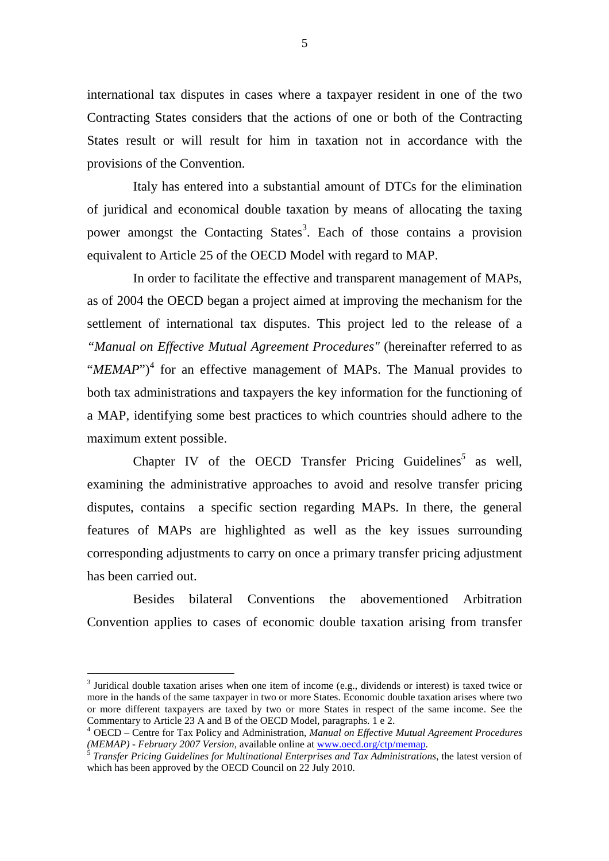international tax disputes in cases where a taxpayer resident in one of the two Contracting States considers that the actions of one or both of the Contracting States result or will result for him in taxation not in accordance with the provisions of the Convention.

Italy has entered into a substantial amount of DTCs for the elimination of juridical and economical double taxation by means of allocating the taxing power amongst the Contacting States<sup>3</sup>. Each of those contains a provision equivalent to Article 25 of the OECD Model with regard to MAP.

In order to facilitate the effective and transparent management of MAPs, as of 2004 the OECD began a project aimed at improving the mechanism for the settlement of international tax disputes. This project led to the release of a *"Manual on Effective Mutual Agreement Procedures"* (hereinafter referred to as "*MEMAP*"<sup>4</sup> for an effective management of MAPs. The Manual provides to both tax administrations and taxpayers the key information for the functioning of a MAP, identifying some best practices to which countries should adhere to the maximum extent possible.

Chapter IV of the OECD Transfer Pricing Guidelines<sup>5</sup> as well, examining the administrative approaches to avoid and resolve transfer pricing disputes, contains a specific section regarding MAPs. In there, the general features of MAPs are highlighted as well as the key issues surrounding corresponding adjustments to carry on once a primary transfer pricing adjustment has been carried out.

Besides bilateral Conventions the abovementioned Arbitration Convention applies to cases of economic double taxation arising from transfer

 $\overline{a}$ 

<sup>&</sup>lt;sup>3</sup> Juridical double taxation arises when one item of income (e.g., dividends or interest) is taxed twice or more in the hands of the same taxpayer in two or more States. Economic double taxation arises where two or more different taxpayers are taxed by two or more States in respect of the same income. See the Commentary to Article 23 A and B of the OECD Model, paragraphs. 1 e 2.

<sup>4</sup> OECD – Centre for Tax Policy and Administration, *Manual on Effective Mutual Agreement Procedures (MEMAP) - February 2007 Version*, available online at www.oecd.org/ctp/memap.

<sup>5</sup> *Transfer Pricing Guidelines for Multinational Enterprises and Tax Administrations*, the latest version of which has been approved by the OECD Council on 22 July 2010.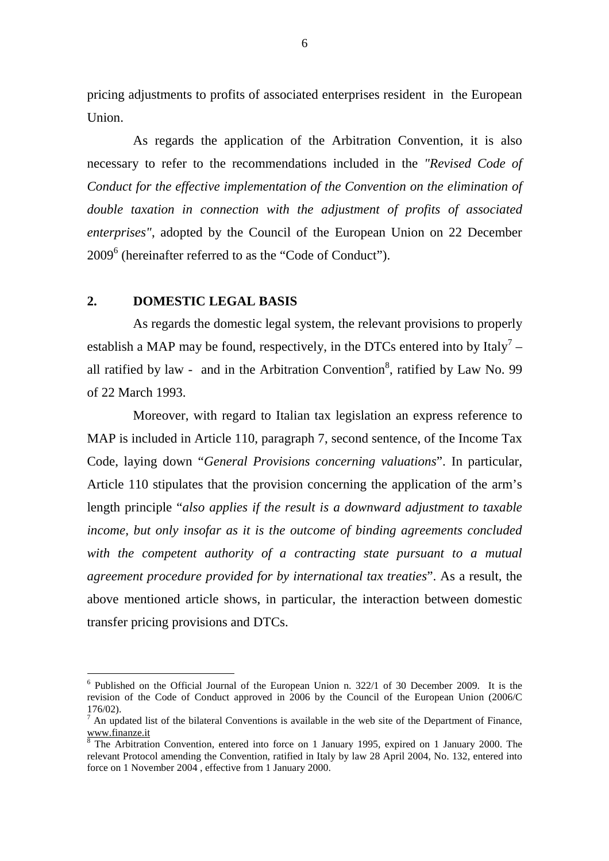pricing adjustments to profits of associated enterprises resident in the European Union.

As regards the application of the Arbitration Convention, it is also necessary to refer to the recommendations included in the *"Revised Code of Conduct for the effective implementation of the Convention on the elimination of double taxation in connection with the adjustment of profits of associated enterprises"*, adopted by the Council of the European Union on 22 December 2009<sup>6</sup> (hereinafter referred to as the "Code of Conduct").

#### **2. DOMESTIC LEGAL BASIS**

 $\overline{a}$ 

As regards the domestic legal system, the relevant provisions to properly establish a MAP may be found, respectively, in the DTCs entered into by Italy<sup>7</sup> – all ratified by law - and in the Arbitration Convention<sup>8</sup>, ratified by Law No. 99 of 22 March 1993.

Moreover, with regard to Italian tax legislation an express reference to MAP is included in Article 110, paragraph 7, second sentence, of the Income Tax Code, laying down "*General Provisions concerning valuations*". In particular, Article 110 stipulates that the provision concerning the application of the arm's length principle "*also applies if the result is a downward adjustment to taxable income, but only insofar as it is the outcome of binding agreements concluded with the competent authority of a contracting state pursuant to a mutual agreement procedure provided for by international tax treaties*". As a result, the above mentioned article shows, in particular, the interaction between domestic transfer pricing provisions and DTCs.

<sup>&</sup>lt;sup>6</sup> Published on the Official Journal of the European Union n. 322/1 of 30 December 2009. It is the revision of the Code of Conduct approved in 2006 by the Council of the European Union (2006/C 176/02).

 $<sup>7</sup>$  An updated list of the bilateral Conventions is available in the web site of the Department of Finance,</sup> www.finanze.it

<sup>&</sup>lt;sup>8</sup> The Arbitration Convention, entered into force on 1 January 1995, expired on 1 January 2000. The relevant Protocol amending the Convention, ratified in Italy by law 28 April 2004, No. 132, entered into force on 1 November 2004 , effective from 1 January 2000.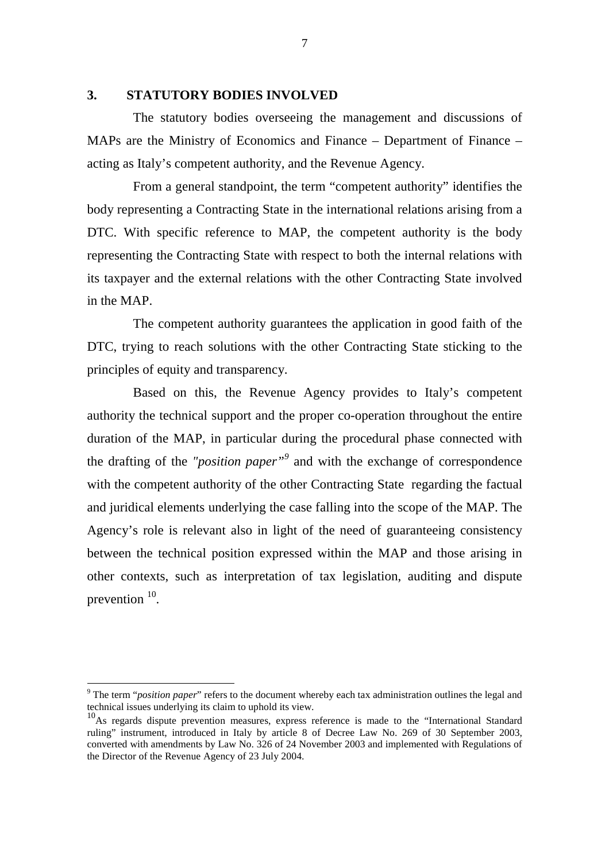#### **3. STATUTORY BODIES INVOLVED**

The statutory bodies overseeing the management and discussions of MAPs are the Ministry of Economics and Finance – Department of Finance – acting as Italy's competent authority, and the Revenue Agency.

From a general standpoint, the term "competent authority" identifies the body representing a Contracting State in the international relations arising from a DTC. With specific reference to MAP, the competent authority is the body representing the Contracting State with respect to both the internal relations with its taxpayer and the external relations with the other Contracting State involved in the MAP.

The competent authority guarantees the application in good faith of the DTC, trying to reach solutions with the other Contracting State sticking to the principles of equity and transparency.

Based on this, the Revenue Agency provides to Italy's competent authority the technical support and the proper co-operation throughout the entire duration of the MAP, in particular during the procedural phase connected with the drafting of the *"position paper"<sup>9</sup>* and with the exchange of correspondence with the competent authority of the other Contracting State regarding the factual and juridical elements underlying the case falling into the scope of the MAP. The Agency's role is relevant also in light of the need of guaranteeing consistency between the technical position expressed within the MAP and those arising in other contexts, such as interpretation of tax legislation, auditing and dispute prevention  $10$ .

 $\overline{a}$ 

<sup>&</sup>lt;sup>9</sup> The term "*position paper*" refers to the document whereby each tax administration outlines the legal and technical issues underlying its claim to uphold its view.

<sup>&</sup>lt;sup>10</sup>As regards dispute prevention measures, express reference is made to the "International Standard ruling" instrument, introduced in Italy by article 8 of Decree Law No. 269 of 30 September 2003, converted with amendments by Law No. 326 of 24 November 2003 and implemented with Regulations of the Director of the Revenue Agency of 23 July 2004.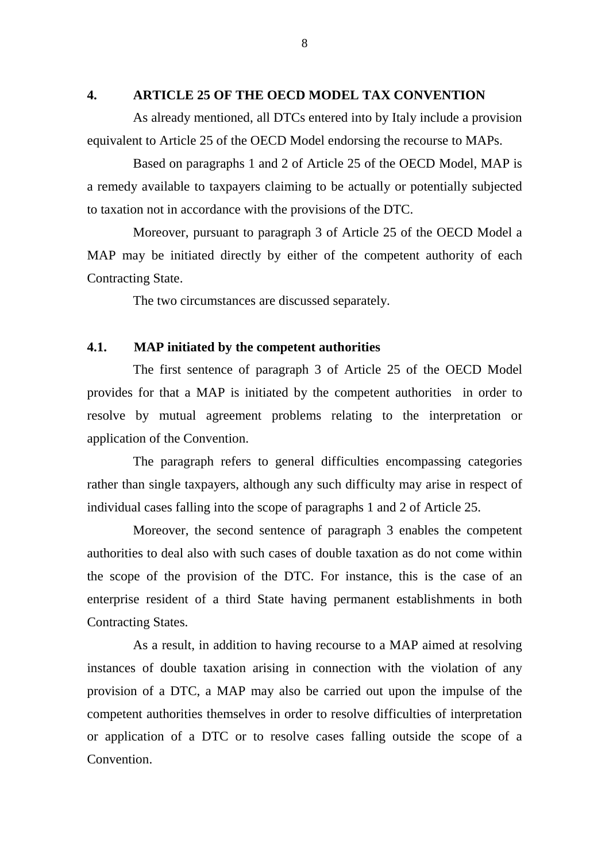#### **4. ARTICLE 25 OF THE OECD MODEL TAX CONVENTION**

As already mentioned, all DTCs entered into by Italy include a provision equivalent to Article 25 of the OECD Model endorsing the recourse to MAPs.

Based on paragraphs 1 and 2 of Article 25 of the OECD Model, MAP is a remedy available to taxpayers claiming to be actually or potentially subjected to taxation not in accordance with the provisions of the DTC.

Moreover, pursuant to paragraph 3 of Article 25 of the OECD Model a MAP may be initiated directly by either of the competent authority of each Contracting State.

The two circumstances are discussed separately.

#### **4.1. MAP initiated by the competent authorities**

The first sentence of paragraph 3 of Article 25 of the OECD Model provides for that a MAP is initiated by the competent authorities in order to resolve by mutual agreement problems relating to the interpretation or application of the Convention.

The paragraph refers to general difficulties encompassing categories rather than single taxpayers, although any such difficulty may arise in respect of individual cases falling into the scope of paragraphs 1 and 2 of Article 25.

Moreover, the second sentence of paragraph 3 enables the competent authorities to deal also with such cases of double taxation as do not come within the scope of the provision of the DTC. For instance, this is the case of an enterprise resident of a third State having permanent establishments in both Contracting States.

As a result, in addition to having recourse to a MAP aimed at resolving instances of double taxation arising in connection with the violation of any provision of a DTC, a MAP may also be carried out upon the impulse of the competent authorities themselves in order to resolve difficulties of interpretation or application of a DTC or to resolve cases falling outside the scope of a Convention.

8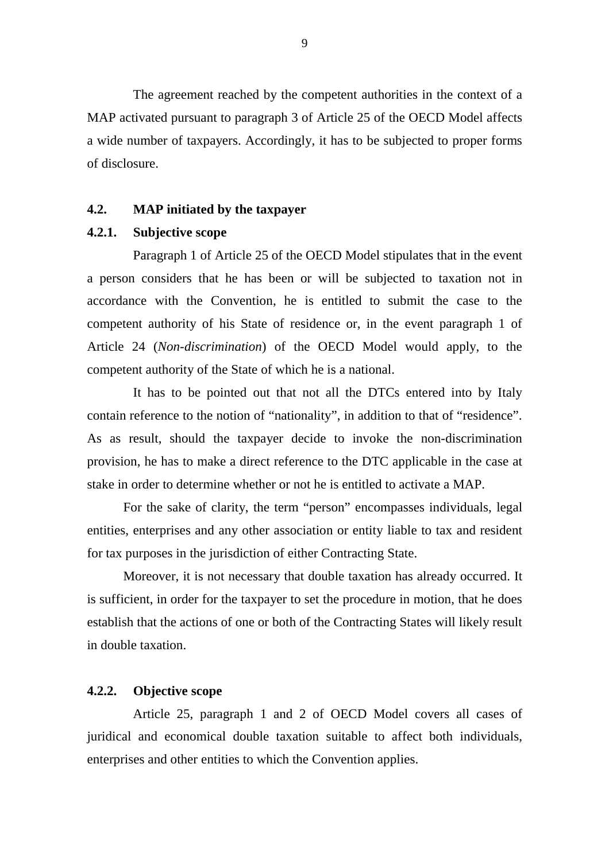The agreement reached by the competent authorities in the context of a MAP activated pursuant to paragraph 3 of Article 25 of the OECD Model affects a wide number of taxpayers. Accordingly, it has to be subjected to proper forms of disclosure.

### **4.2. MAP initiated by the taxpayer**

### **4.2.1. Subjective scope**

Paragraph 1 of Article 25 of the OECD Model stipulates that in the event a person considers that he has been or will be subjected to taxation not in accordance with the Convention, he is entitled to submit the case to the competent authority of his State of residence or, in the event paragraph 1 of Article 24 (*Non-discrimination*) of the OECD Model would apply, to the competent authority of the State of which he is a national.

It has to be pointed out that not all the DTCs entered into by Italy contain reference to the notion of "nationality", in addition to that of "residence". As as result, should the taxpayer decide to invoke the non-discrimination provision, he has to make a direct reference to the DTC applicable in the case at stake in order to determine whether or not he is entitled to activate a MAP.

For the sake of clarity, the term "person" encompasses individuals, legal entities, enterprises and any other association or entity liable to tax and resident for tax purposes in the jurisdiction of either Contracting State.

Moreover, it is not necessary that double taxation has already occurred. It is sufficient, in order for the taxpayer to set the procedure in motion, that he does establish that the actions of one or both of the Contracting States will likely result in double taxation.

## **4.2.2. Objective scope**

Article 25, paragraph 1 and 2 of OECD Model covers all cases of juridical and economical double taxation suitable to affect both individuals, enterprises and other entities to which the Convention applies.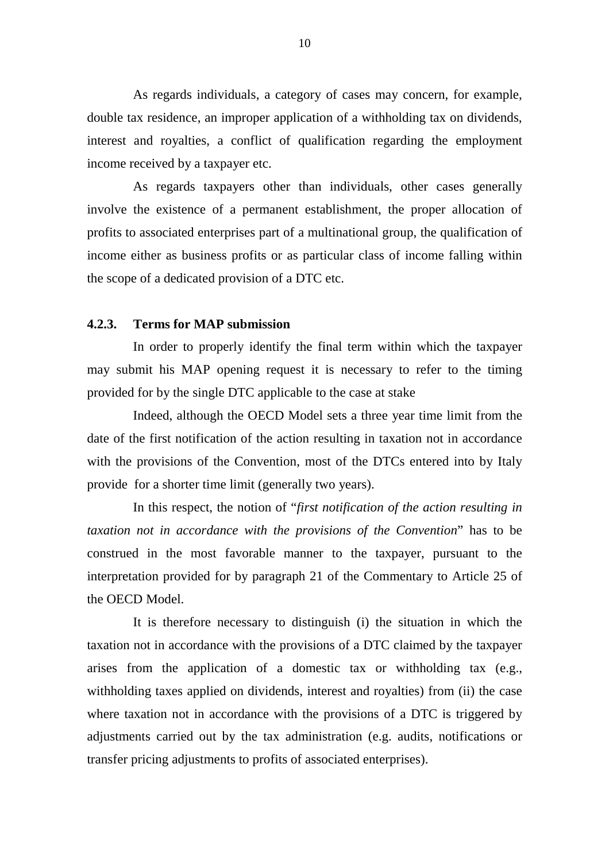As regards individuals, a category of cases may concern, for example, double tax residence, an improper application of a withholding tax on dividends, interest and royalties, a conflict of qualification regarding the employment income received by a taxpayer etc.

As regards taxpayers other than individuals, other cases generally involve the existence of a permanent establishment, the proper allocation of profits to associated enterprises part of a multinational group, the qualification of income either as business profits or as particular class of income falling within the scope of a dedicated provision of a DTC etc.

### **4.2.3. Terms for MAP submission**

In order to properly identify the final term within which the taxpayer may submit his MAP opening request it is necessary to refer to the timing provided for by the single DTC applicable to the case at stake

Indeed, although the OECD Model sets a three year time limit from the date of the first notification of the action resulting in taxation not in accordance with the provisions of the Convention, most of the DTCs entered into by Italy provide for a shorter time limit (generally two years).

In this respect, the notion of "*first notification of the action resulting in taxation not in accordance with the provisions of the Convention*" has to be construed in the most favorable manner to the taxpayer, pursuant to the interpretation provided for by paragraph 21 of the Commentary to Article 25 of the OECD Model.

It is therefore necessary to distinguish (i) the situation in which the taxation not in accordance with the provisions of a DTC claimed by the taxpayer arises from the application of a domestic tax or withholding tax (e.g., withholding taxes applied on dividends, interest and royalties) from (ii) the case where taxation not in accordance with the provisions of a DTC is triggered by adjustments carried out by the tax administration (e.g. audits, notifications or transfer pricing adjustments to profits of associated enterprises).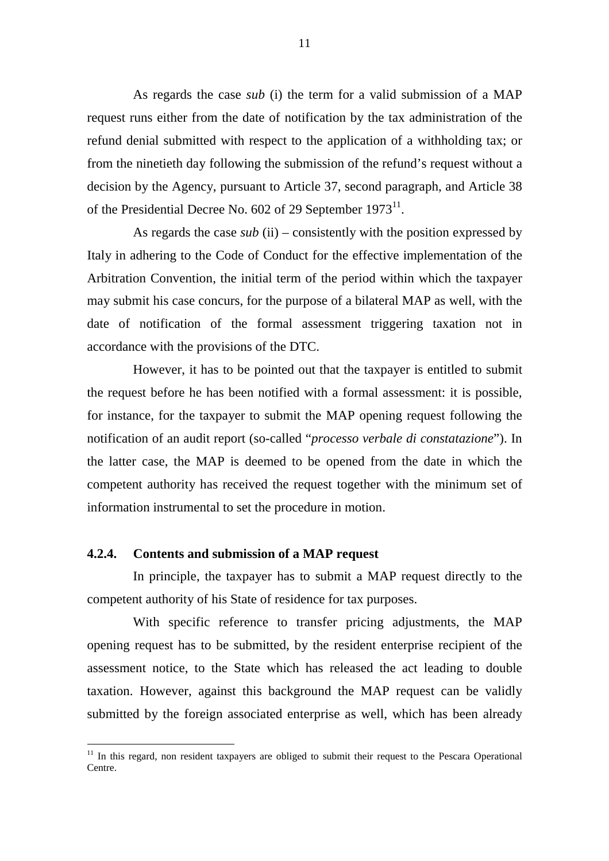As regards the case *sub* (i) the term for a valid submission of a MAP request runs either from the date of notification by the tax administration of the refund denial submitted with respect to the application of a withholding tax; or from the ninetieth day following the submission of the refund's request without a decision by the Agency, pursuant to Article 37, second paragraph, and Article 38 of the Presidential Decree No. 602 of 29 September  $1973^{11}$ .

As regards the case *sub* (ii) – consistently with the position expressed by Italy in adhering to the Code of Conduct for the effective implementation of the Arbitration Convention, the initial term of the period within which the taxpayer may submit his case concurs, for the purpose of a bilateral MAP as well, with the date of notification of the formal assessment triggering taxation not in accordance with the provisions of the DTC.

However, it has to be pointed out that the taxpayer is entitled to submit the request before he has been notified with a formal assessment: it is possible, for instance, for the taxpayer to submit the MAP opening request following the notification of an audit report (so-called "*processo verbale di constatazione*"). In the latter case, the MAP is deemed to be opened from the date in which the competent authority has received the request together with the minimum set of information instrumental to set the procedure in motion.

### **4.2.4. Contents and submission of a MAP request**

 $\overline{a}$ 

In principle, the taxpayer has to submit a MAP request directly to the competent authority of his State of residence for tax purposes.

With specific reference to transfer pricing adjustments, the MAP opening request has to be submitted, by the resident enterprise recipient of the assessment notice, to the State which has released the act leading to double taxation. However, against this background the MAP request can be validly submitted by the foreign associated enterprise as well, which has been already

<sup>&</sup>lt;sup>11</sup> In this regard, non resident taxpayers are obliged to submit their request to the Pescara Operational Centre.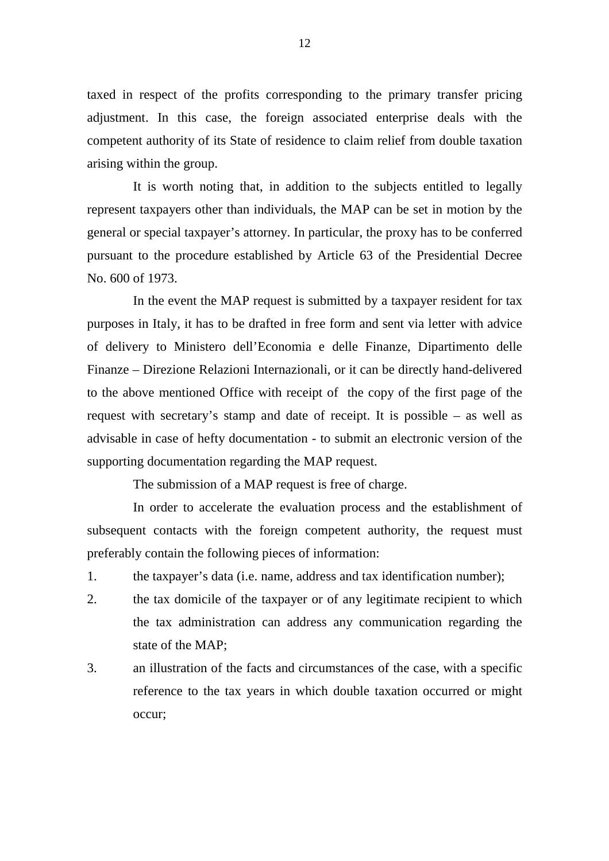taxed in respect of the profits corresponding to the primary transfer pricing adjustment. In this case, the foreign associated enterprise deals with the competent authority of its State of residence to claim relief from double taxation arising within the group.

It is worth noting that, in addition to the subjects entitled to legally represent taxpayers other than individuals, the MAP can be set in motion by the general or special taxpayer's attorney. In particular, the proxy has to be conferred pursuant to the procedure established by Article 63 of the Presidential Decree No. 600 of 1973.

In the event the MAP request is submitted by a taxpayer resident for tax purposes in Italy, it has to be drafted in free form and sent via letter with advice of delivery to Ministero dell'Economia e delle Finanze, Dipartimento delle Finanze – Direzione Relazioni Internazionali, or it can be directly hand-delivered to the above mentioned Office with receipt of the copy of the first page of the request with secretary's stamp and date of receipt. It is possible – as well as advisable in case of hefty documentation - to submit an electronic version of the supporting documentation regarding the MAP request.

The submission of a MAP request is free of charge.

In order to accelerate the evaluation process and the establishment of subsequent contacts with the foreign competent authority, the request must preferably contain the following pieces of information:

1. the taxpayer's data (i.e. name, address and tax identification number);

- 2. the tax domicile of the taxpayer or of any legitimate recipient to which the tax administration can address any communication regarding the state of the MAP;
- 3. an illustration of the facts and circumstances of the case, with a specific reference to the tax years in which double taxation occurred or might occur;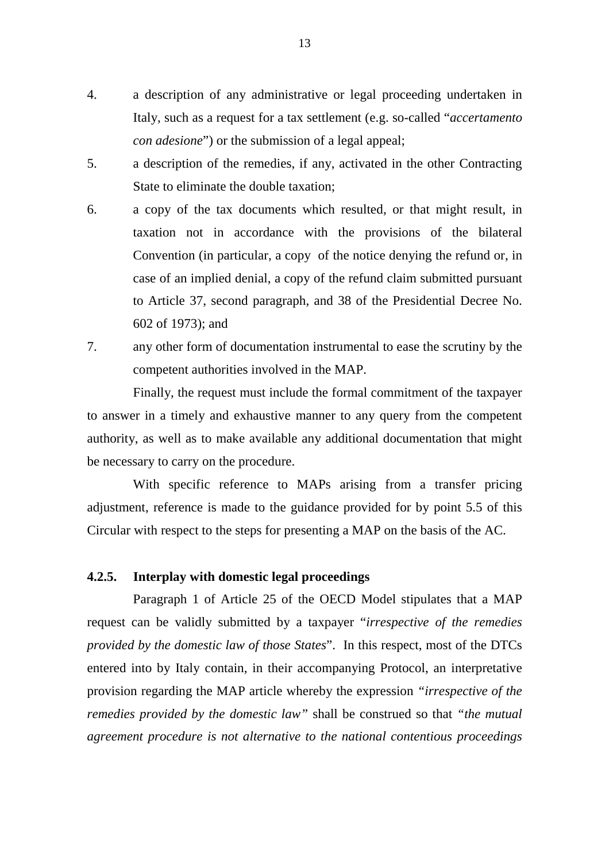- 4. a description of any administrative or legal proceeding undertaken in Italy, such as a request for a tax settlement (e.g. so-called "*accertamento con adesione*") or the submission of a legal appeal;
- 5. a description of the remedies, if any, activated in the other Contracting State to eliminate the double taxation;
- 6. a copy of the tax documents which resulted, or that might result, in taxation not in accordance with the provisions of the bilateral Convention (in particular, a copy of the notice denying the refund or, in case of an implied denial, a copy of the refund claim submitted pursuant to Article 37, second paragraph, and 38 of the Presidential Decree No. 602 of 1973); and
- 7. any other form of documentation instrumental to ease the scrutiny by the competent authorities involved in the MAP.

Finally, the request must include the formal commitment of the taxpayer to answer in a timely and exhaustive manner to any query from the competent authority, as well as to make available any additional documentation that might be necessary to carry on the procedure.

With specific reference to MAPs arising from a transfer pricing adjustment, reference is made to the guidance provided for by point 5.5 of this Circular with respect to the steps for presenting a MAP on the basis of the AC.

### **4.2.5. Interplay with domestic legal proceedings**

Paragraph 1 of Article 25 of the OECD Model stipulates that a MAP request can be validly submitted by a taxpayer "*irrespective of the remedies provided by the domestic law of those States*". In this respect, most of the DTCs entered into by Italy contain, in their accompanying Protocol, an interpretative provision regarding the MAP article whereby the expression *"irrespective of the remedies provided by the domestic law"* shall be construed so that *"the mutual agreement procedure is not alternative to the national contentious proceedings*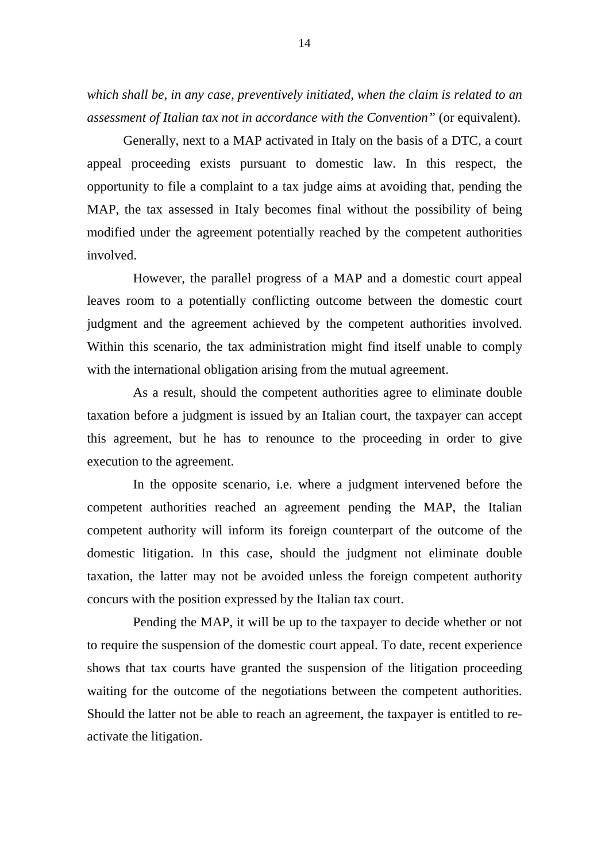*which shall be, in any case, preventively initiated, when the claim is related to an assessment of Italian tax not in accordance with the Convention"* (or equivalent).

Generally, next to a MAP activated in Italy on the basis of a DTC, a court appeal proceeding exists pursuant to domestic law. In this respect, the opportunity to file a complaint to a tax judge aims at avoiding that, pending the MAP, the tax assessed in Italy becomes final without the possibility of being modified under the agreement potentially reached by the competent authorities involved.

However, the parallel progress of a MAP and a domestic court appeal leaves room to a potentially conflicting outcome between the domestic court judgment and the agreement achieved by the competent authorities involved. Within this scenario, the tax administration might find itself unable to comply with the international obligation arising from the mutual agreement.

As a result, should the competent authorities agree to eliminate double taxation before a judgment is issued by an Italian court, the taxpayer can accept this agreement, but he has to renounce to the proceeding in order to give execution to the agreement.

In the opposite scenario, i.e. where a judgment intervened before the competent authorities reached an agreement pending the MAP, the Italian competent authority will inform its foreign counterpart of the outcome of the domestic litigation. In this case, should the judgment not eliminate double taxation, the latter may not be avoided unless the foreign competent authority concurs with the position expressed by the Italian tax court.

Pending the MAP, it will be up to the taxpayer to decide whether or not to require the suspension of the domestic court appeal. To date, recent experience shows that tax courts have granted the suspension of the litigation proceeding waiting for the outcome of the negotiations between the competent authorities. Should the latter not be able to reach an agreement, the taxpayer is entitled to reactivate the litigation.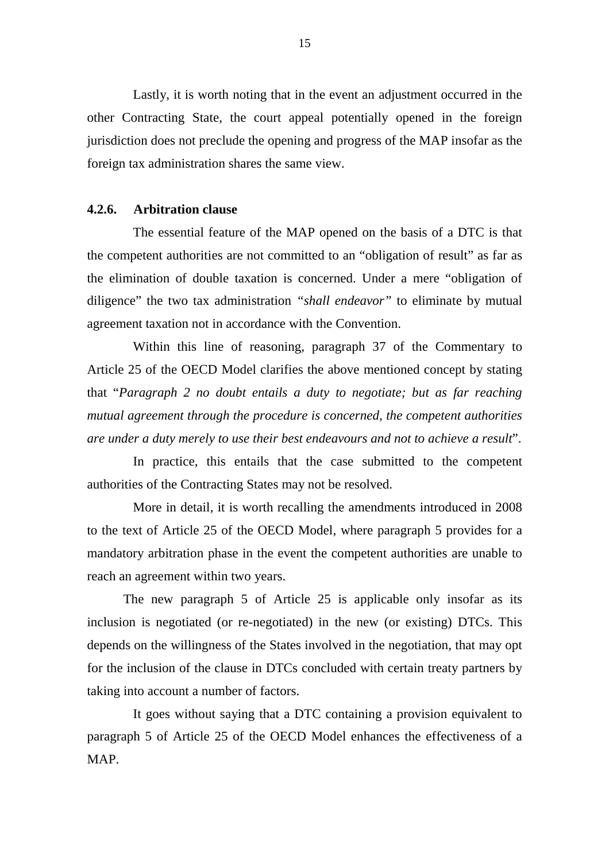Lastly, it is worth noting that in the event an adjustment occurred in the other Contracting State, the court appeal potentially opened in the foreign jurisdiction does not preclude the opening and progress of the MAP insofar as the foreign tax administration shares the same view.

### **4.2.6. Arbitration clause**

The essential feature of the MAP opened on the basis of a DTC is that the competent authorities are not committed to an "obligation of result" as far as the elimination of double taxation is concerned. Under a mere "obligation of diligence" the two tax administration *"shall endeavor"* to eliminate by mutual agreement taxation not in accordance with the Convention.

Within this line of reasoning, paragraph 37 of the Commentary to Article 25 of the OECD Model clarifies the above mentioned concept by stating that "*Paragraph 2 no doubt entails a duty to negotiate; but as far reaching mutual agreement through the procedure is concerned, the competent authorities are under a duty merely to use their best endeavours and not to achieve a result*".

In practice, this entails that the case submitted to the competent authorities of the Contracting States may not be resolved.

More in detail, it is worth recalling the amendments introduced in 2008 to the text of Article 25 of the OECD Model, where paragraph 5 provides for a mandatory arbitration phase in the event the competent authorities are unable to reach an agreement within two years.

The new paragraph 5 of Article 25 is applicable only insofar as its inclusion is negotiated (or re-negotiated) in the new (or existing) DTCs. This depends on the willingness of the States involved in the negotiation, that may opt for the inclusion of the clause in DTCs concluded with certain treaty partners by taking into account a number of factors.

It goes without saying that a DTC containing a provision equivalent to paragraph 5 of Article 25 of the OECD Model enhances the effectiveness of a MAP.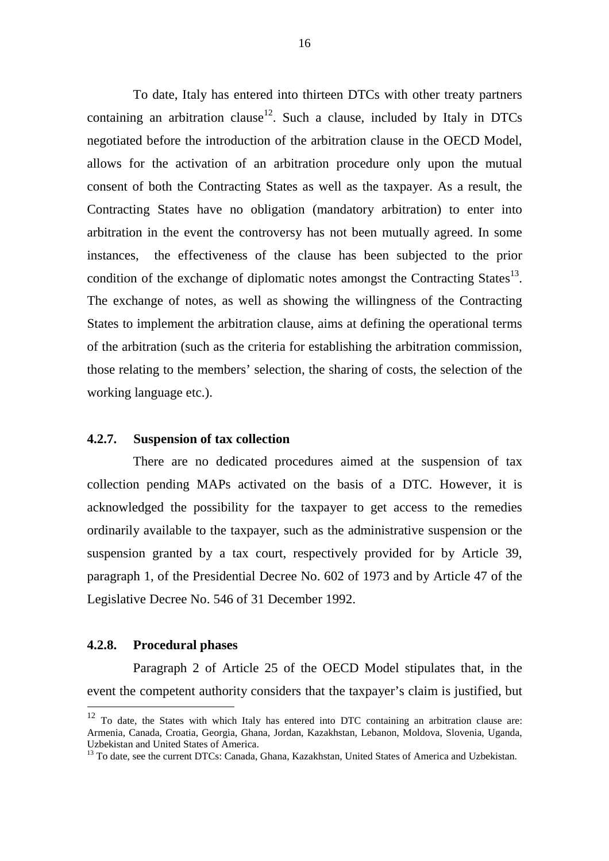To date, Italy has entered into thirteen DTCs with other treaty partners containing an arbitration clause<sup>12</sup>. Such a clause, included by Italy in DTCs negotiated before the introduction of the arbitration clause in the OECD Model, allows for the activation of an arbitration procedure only upon the mutual consent of both the Contracting States as well as the taxpayer. As a result, the Contracting States have no obligation (mandatory arbitration) to enter into arbitration in the event the controversy has not been mutually agreed. In some instances, the effectiveness of the clause has been subjected to the prior condition of the exchange of diplomatic notes amongst the Contracting States $^{13}$ . The exchange of notes, as well as showing the willingness of the Contracting States to implement the arbitration clause, aims at defining the operational terms of the arbitration (such as the criteria for establishing the arbitration commission, those relating to the members' selection, the sharing of costs, the selection of the working language etc.).

#### **4.2.7. Suspension of tax collection**

There are no dedicated procedures aimed at the suspension of tax collection pending MAPs activated on the basis of a DTC. However, it is acknowledged the possibility for the taxpayer to get access to the remedies ordinarily available to the taxpayer, such as the administrative suspension or the suspension granted by a tax court, respectively provided for by Article 39, paragraph 1, of the Presidential Decree No. 602 of 1973 and by Article 47 of the Legislative Decree No. 546 of 31 December 1992.

### **4.2.8. Procedural phases**

 $\overline{a}$ 

Paragraph 2 of Article 25 of the OECD Model stipulates that, in the event the competent authority considers that the taxpayer's claim is justified, but

 $12$  To date, the States with which Italy has entered into DTC containing an arbitration clause are: Armenia, Canada, Croatia, Georgia, Ghana, Jordan, Kazakhstan, Lebanon, Moldova, Slovenia, Uganda, Uzbekistan and United States of America.

<sup>&</sup>lt;sup>13</sup> To date, see the current DTCs: Canada, Ghana, Kazakhstan, United States of America and Uzbekistan.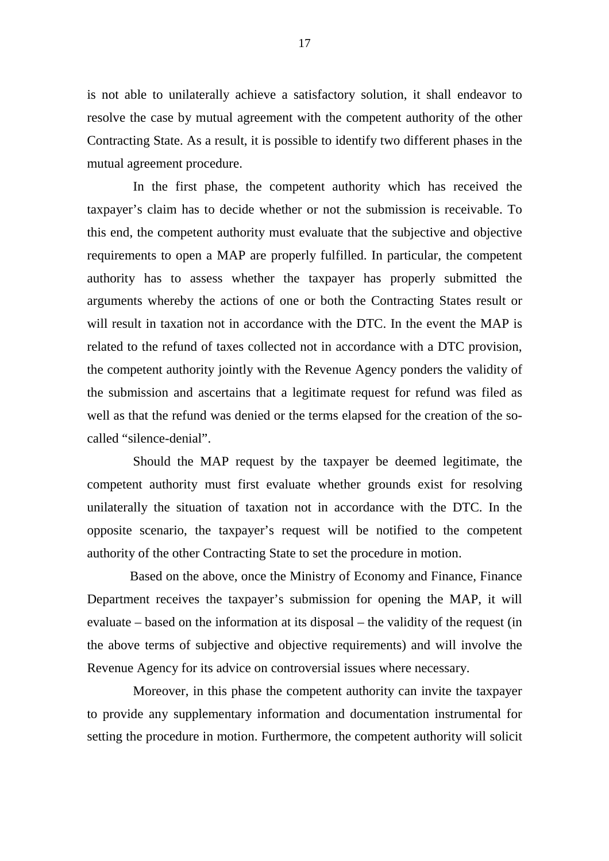is not able to unilaterally achieve a satisfactory solution, it shall endeavor to resolve the case by mutual agreement with the competent authority of the other Contracting State. As a result, it is possible to identify two different phases in the mutual agreement procedure.

In the first phase, the competent authority which has received the taxpayer's claim has to decide whether or not the submission is receivable. To this end, the competent authority must evaluate that the subjective and objective requirements to open a MAP are properly fulfilled. In particular, the competent authority has to assess whether the taxpayer has properly submitted the arguments whereby the actions of one or both the Contracting States result or will result in taxation not in accordance with the DTC. In the event the MAP is related to the refund of taxes collected not in accordance with a DTC provision, the competent authority jointly with the Revenue Agency ponders the validity of the submission and ascertains that a legitimate request for refund was filed as well as that the refund was denied or the terms elapsed for the creation of the socalled "silence-denial".

Should the MAP request by the taxpayer be deemed legitimate, the competent authority must first evaluate whether grounds exist for resolving unilaterally the situation of taxation not in accordance with the DTC. In the opposite scenario, the taxpayer's request will be notified to the competent authority of the other Contracting State to set the procedure in motion.

 Based on the above, once the Ministry of Economy and Finance, Finance Department receives the taxpayer's submission for opening the MAP, it will evaluate – based on the information at its disposal – the validity of the request (in the above terms of subjective and objective requirements) and will involve the Revenue Agency for its advice on controversial issues where necessary.

Moreover, in this phase the competent authority can invite the taxpayer to provide any supplementary information and documentation instrumental for setting the procedure in motion. Furthermore, the competent authority will solicit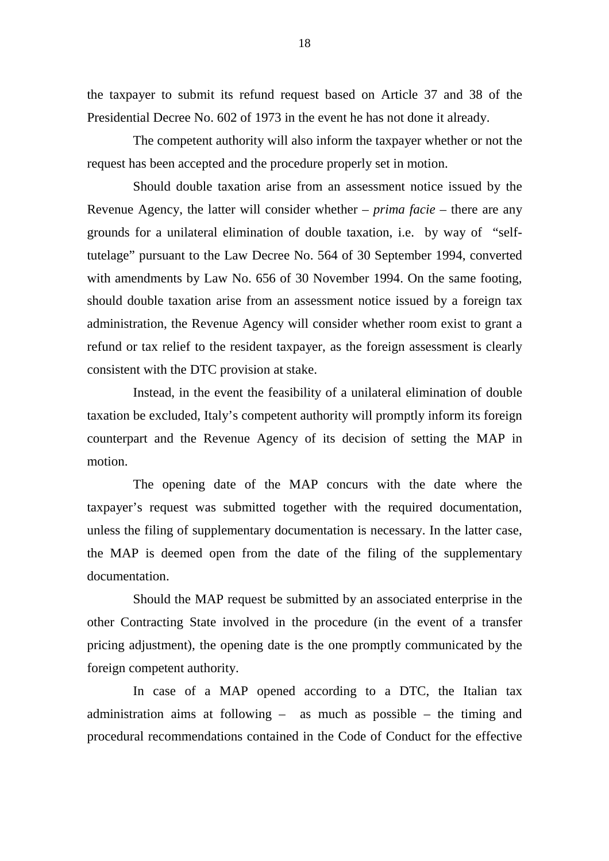the taxpayer to submit its refund request based on Article 37 and 38 of the Presidential Decree No. 602 of 1973 in the event he has not done it already.

The competent authority will also inform the taxpayer whether or not the request has been accepted and the procedure properly set in motion.

Should double taxation arise from an assessment notice issued by the Revenue Agency, the latter will consider whether – *prima facie* – there are any grounds for a unilateral elimination of double taxation, i.e. by way of "selftutelage" pursuant to the Law Decree No. 564 of 30 September 1994, converted with amendments by Law No. 656 of 30 November 1994. On the same footing, should double taxation arise from an assessment notice issued by a foreign tax administration, the Revenue Agency will consider whether room exist to grant a refund or tax relief to the resident taxpayer, as the foreign assessment is clearly consistent with the DTC provision at stake.

Instead, in the event the feasibility of a unilateral elimination of double taxation be excluded, Italy's competent authority will promptly inform its foreign counterpart and the Revenue Agency of its decision of setting the MAP in motion.

The opening date of the MAP concurs with the date where the taxpayer's request was submitted together with the required documentation, unless the filing of supplementary documentation is necessary. In the latter case, the MAP is deemed open from the date of the filing of the supplementary documentation.

Should the MAP request be submitted by an associated enterprise in the other Contracting State involved in the procedure (in the event of a transfer pricing adjustment), the opening date is the one promptly communicated by the foreign competent authority.

In case of a MAP opened according to a DTC, the Italian tax administration aims at following – as much as possible – the timing and procedural recommendations contained in the Code of Conduct for the effective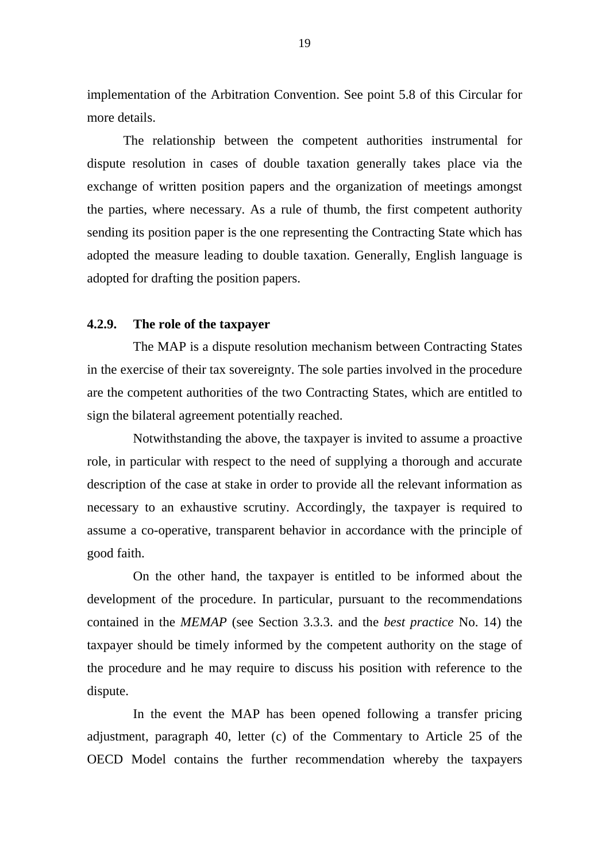implementation of the Arbitration Convention. See point 5.8 of this Circular for more details.

 The relationship between the competent authorities instrumental for dispute resolution in cases of double taxation generally takes place via the exchange of written position papers and the organization of meetings amongst the parties, where necessary. As a rule of thumb, the first competent authority sending its position paper is the one representing the Contracting State which has adopted the measure leading to double taxation. Generally, English language is adopted for drafting the position papers.

## **4.2.9. The role of the taxpayer**

The MAP is a dispute resolution mechanism between Contracting States in the exercise of their tax sovereignty. The sole parties involved in the procedure are the competent authorities of the two Contracting States, which are entitled to sign the bilateral agreement potentially reached.

Notwithstanding the above, the taxpayer is invited to assume a proactive role, in particular with respect to the need of supplying a thorough and accurate description of the case at stake in order to provide all the relevant information as necessary to an exhaustive scrutiny. Accordingly, the taxpayer is required to assume a co-operative, transparent behavior in accordance with the principle of good faith.

On the other hand, the taxpayer is entitled to be informed about the development of the procedure. In particular, pursuant to the recommendations contained in the *MEMAP* (see Section 3.3.3. and the *best practice* No. 14) the taxpayer should be timely informed by the competent authority on the stage of the procedure and he may require to discuss his position with reference to the dispute.

In the event the MAP has been opened following a transfer pricing adjustment, paragraph 40, letter (c) of the Commentary to Article 25 of the OECD Model contains the further recommendation whereby the taxpayers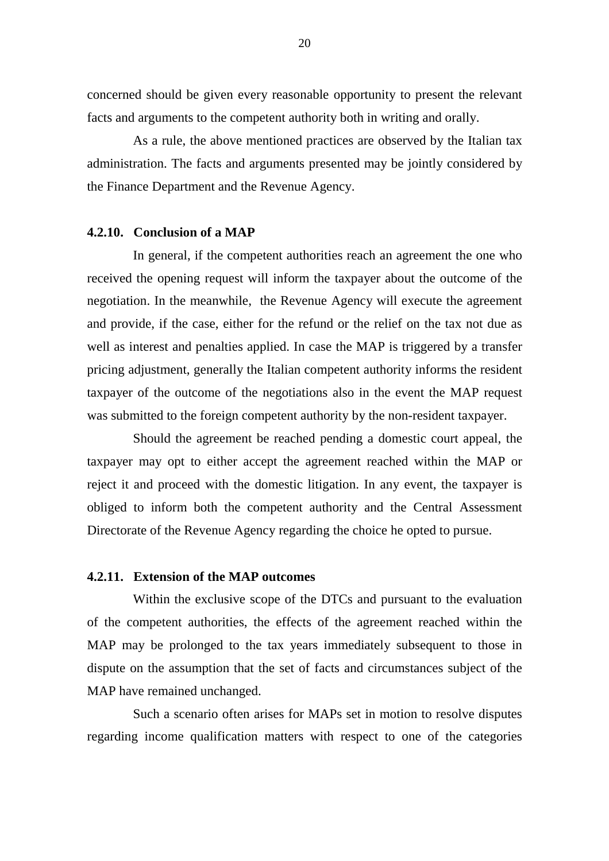concerned should be given every reasonable opportunity to present the relevant facts and arguments to the competent authority both in writing and orally.

As a rule, the above mentioned practices are observed by the Italian tax administration. The facts and arguments presented may be jointly considered by the Finance Department and the Revenue Agency.

#### **4.2.10. Conclusion of a MAP**

In general, if the competent authorities reach an agreement the one who received the opening request will inform the taxpayer about the outcome of the negotiation. In the meanwhile, the Revenue Agency will execute the agreement and provide, if the case, either for the refund or the relief on the tax not due as well as interest and penalties applied. In case the MAP is triggered by a transfer pricing adjustment, generally the Italian competent authority informs the resident taxpayer of the outcome of the negotiations also in the event the MAP request was submitted to the foreign competent authority by the non-resident taxpayer.

Should the agreement be reached pending a domestic court appeal, the taxpayer may opt to either accept the agreement reached within the MAP or reject it and proceed with the domestic litigation. In any event, the taxpayer is obliged to inform both the competent authority and the Central Assessment Directorate of the Revenue Agency regarding the choice he opted to pursue.

### **4.2.11. Extension of the MAP outcomes**

Within the exclusive scope of the DTCs and pursuant to the evaluation of the competent authorities, the effects of the agreement reached within the MAP may be prolonged to the tax years immediately subsequent to those in dispute on the assumption that the set of facts and circumstances subject of the MAP have remained unchanged.

Such a scenario often arises for MAPs set in motion to resolve disputes regarding income qualification matters with respect to one of the categories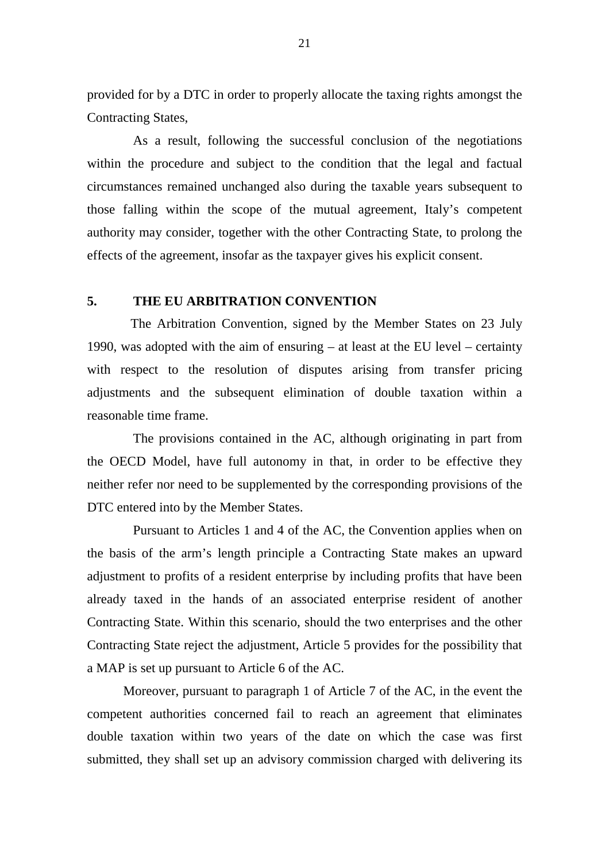provided for by a DTC in order to properly allocate the taxing rights amongst the Contracting States,

As a result, following the successful conclusion of the negotiations within the procedure and subject to the condition that the legal and factual circumstances remained unchanged also during the taxable years subsequent to those falling within the scope of the mutual agreement, Italy's competent authority may consider, together with the other Contracting State, to prolong the effects of the agreement, insofar as the taxpayer gives his explicit consent.

### **5. THE EU ARBITRATION CONVENTION**

The Arbitration Convention, signed by the Member States on 23 July 1990, was adopted with the aim of ensuring – at least at the EU level – certainty with respect to the resolution of disputes arising from transfer pricing adjustments and the subsequent elimination of double taxation within a reasonable time frame.

The provisions contained in the AC, although originating in part from the OECD Model, have full autonomy in that, in order to be effective they neither refer nor need to be supplemented by the corresponding provisions of the DTC entered into by the Member States.

Pursuant to Articles 1 and 4 of the AC, the Convention applies when on the basis of the arm's length principle a Contracting State makes an upward adjustment to profits of a resident enterprise by including profits that have been already taxed in the hands of an associated enterprise resident of another Contracting State. Within this scenario, should the two enterprises and the other Contracting State reject the adjustment, Article 5 provides for the possibility that a MAP is set up pursuant to Article 6 of the AC.

Moreover, pursuant to paragraph 1 of Article 7 of the AC, in the event the competent authorities concerned fail to reach an agreement that eliminates double taxation within two years of the date on which the case was first submitted, they shall set up an advisory commission charged with delivering its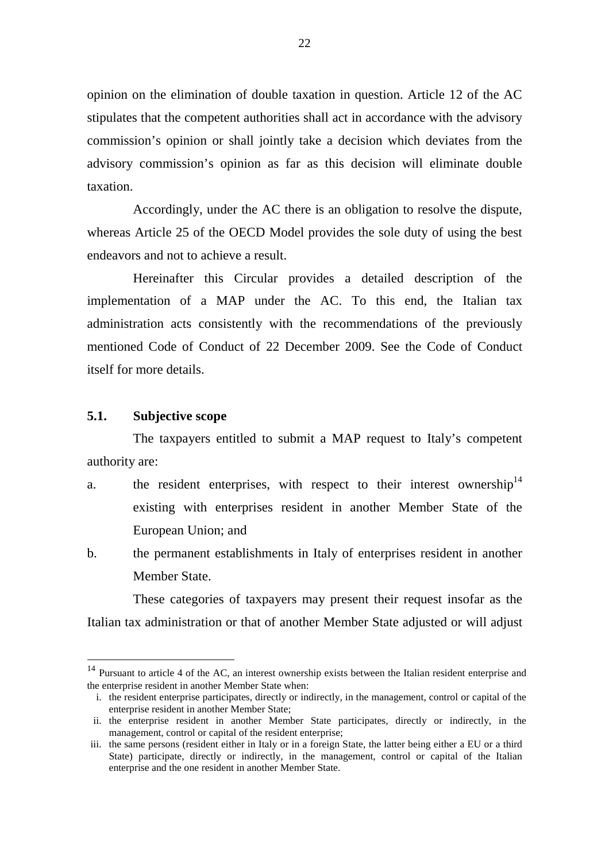opinion on the elimination of double taxation in question. Article 12 of the AC stipulates that the competent authorities shall act in accordance with the advisory commission's opinion or shall jointly take a decision which deviates from the advisory commission's opinion as far as this decision will eliminate double taxation.

Accordingly, under the AC there is an obligation to resolve the dispute, whereas Article 25 of the OECD Model provides the sole duty of using the best endeavors and not to achieve a result.

Hereinafter this Circular provides a detailed description of the implementation of a MAP under the AC. To this end, the Italian tax administration acts consistently with the recommendations of the previously mentioned Code of Conduct of 22 December 2009. See the Code of Conduct itself for more details.

#### **5.1. Subjective scope**

 $\overline{a}$ 

The taxpayers entitled to submit a MAP request to Italy's competent authority are:

- a. the resident enterprises, with respect to their interest ownership<sup>14</sup> existing with enterprises resident in another Member State of the European Union; and
- b. the permanent establishments in Italy of enterprises resident in another Member State.

These categories of taxpayers may present their request insofar as the Italian tax administration or that of another Member State adjusted or will adjust

<sup>&</sup>lt;sup>14</sup> Pursuant to article 4 of the AC, an interest ownership exists between the Italian resident enterprise and the enterprise resident in another Member State when:

i. the resident enterprise participates, directly or indirectly, in the management, control or capital of the enterprise resident in another Member State;

ii. the enterprise resident in another Member State participates, directly or indirectly, in the management, control or capital of the resident enterprise;

iii. the same persons (resident either in Italy or in a foreign State, the latter being either a EU or a third State) participate, directly or indirectly, in the management, control or capital of the Italian enterprise and the one resident in another Member State.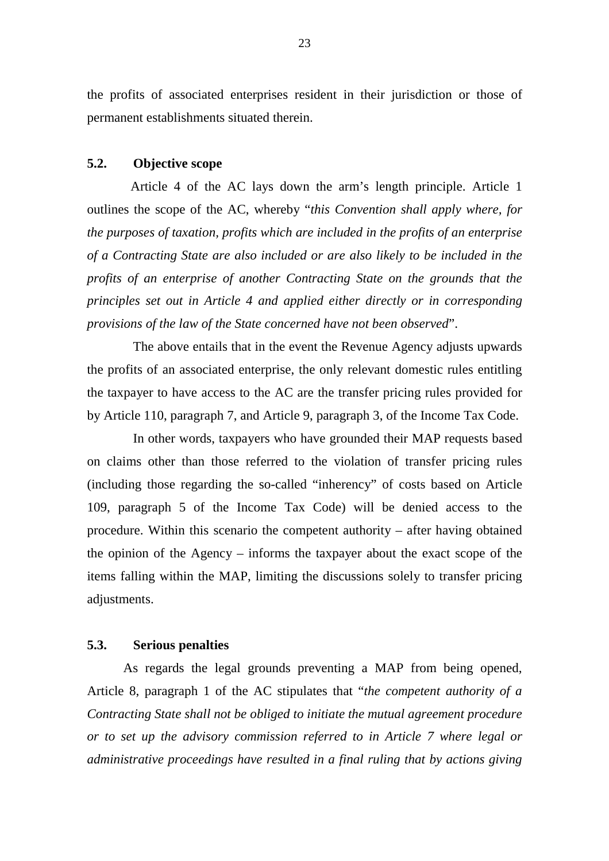the profits of associated enterprises resident in their jurisdiction or those of permanent establishments situated therein.

### **5.2. Objective scope**

Article 4 of the AC lays down the arm's length principle. Article 1 outlines the scope of the AC, whereby "*this Convention shall apply where, for the purposes of taxation, profits which are included in the profits of an enterprise of a Contracting State are also included or are also likely to be included in the profits of an enterprise of another Contracting State on the grounds that the principles set out in Article 4 and applied either directly or in corresponding provisions of the law of the State concerned have not been observed*".

The above entails that in the event the Revenue Agency adjusts upwards the profits of an associated enterprise, the only relevant domestic rules entitling the taxpayer to have access to the AC are the transfer pricing rules provided for by Article 110, paragraph 7, and Article 9, paragraph 3, of the Income Tax Code.

In other words, taxpayers who have grounded their MAP requests based on claims other than those referred to the violation of transfer pricing rules (including those regarding the so-called "inherency" of costs based on Article 109, paragraph 5 of the Income Tax Code) will be denied access to the procedure. Within this scenario the competent authority – after having obtained the opinion of the Agency – informs the taxpayer about the exact scope of the items falling within the MAP, limiting the discussions solely to transfer pricing adjustments.

### **5.3. Serious penalties**

As regards the legal grounds preventing a MAP from being opened, Article 8, paragraph 1 of the AC stipulates that "*the competent authority of a Contracting State shall not be obliged to initiate the mutual agreement procedure or to set up the advisory commission referred to in Article 7 where legal or administrative proceedings have resulted in a final ruling that by actions giving*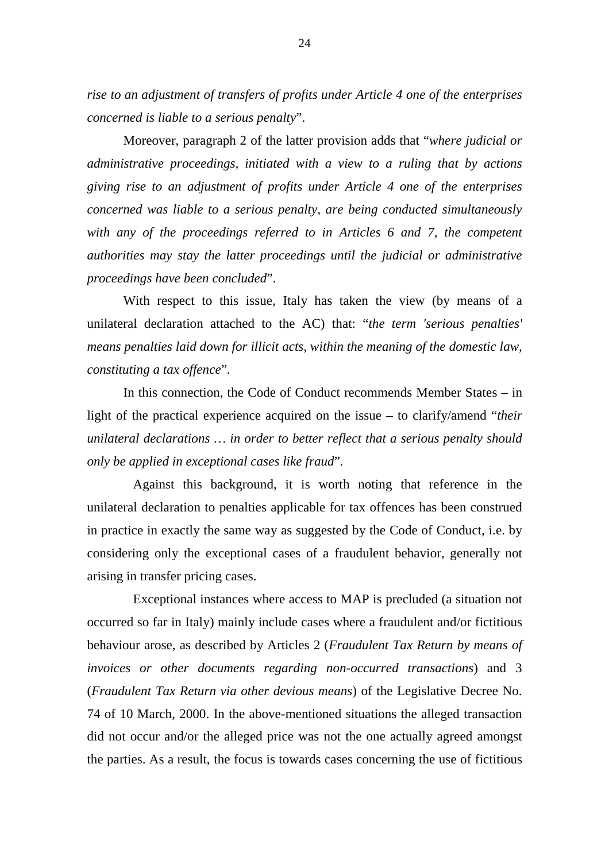*rise to an adjustment of transfers of profits under Article 4 one of the enterprises concerned is liable to a serious penalty*".

Moreover, paragraph 2 of the latter provision adds that "*where judicial or administrative proceedings, initiated with a view to a ruling that by actions giving rise to an adjustment of profits under Article 4 one of the enterprises concerned was liable to a serious penalty, are being conducted simultaneously with any of the proceedings referred to in Articles 6 and 7, the competent authorities may stay the latter proceedings until the judicial or administrative proceedings have been concluded*".

With respect to this issue, Italy has taken the view (by means of a unilateral declaration attached to the AC) that: "*the term 'serious penalties' means penalties laid down for illicit acts, within the meaning of the domestic law, constituting a tax offence*"*.* 

In this connection, the Code of Conduct recommends Member States – in light of the practical experience acquired on the issue – to clarify/amend "*their unilateral declarations … in order to better reflect that a serious penalty should only be applied in exceptional cases like fraud*"*.*

Against this background, it is worth noting that reference in the unilateral declaration to penalties applicable for tax offences has been construed in practice in exactly the same way as suggested by the Code of Conduct, i.e. by considering only the exceptional cases of a fraudulent behavior, generally not arising in transfer pricing cases.

Exceptional instances where access to MAP is precluded (a situation not occurred so far in Italy) mainly include cases where a fraudulent and/or fictitious behaviour arose, as described by Articles 2 (*Fraudulent Tax Return by means of invoices or other documents regarding non-occurred transactions*) and 3 (*Fraudulent Tax Return via other devious means*) of the Legislative Decree No. 74 of 10 March, 2000. In the above-mentioned situations the alleged transaction did not occur and/or the alleged price was not the one actually agreed amongst the parties. As a result, the focus is towards cases concerning the use of fictitious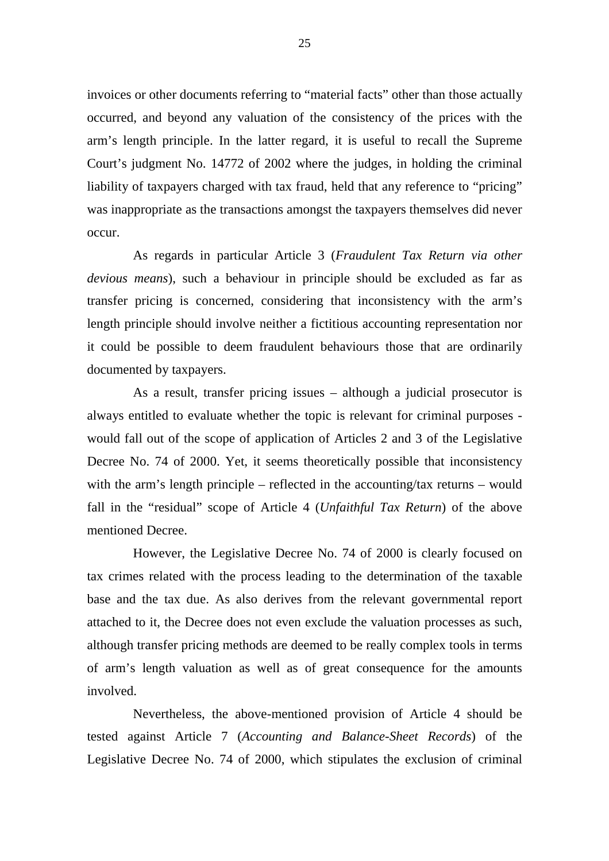invoices or other documents referring to "material facts" other than those actually occurred, and beyond any valuation of the consistency of the prices with the arm's length principle. In the latter regard, it is useful to recall the Supreme Court's judgment No. 14772 of 2002 where the judges, in holding the criminal liability of taxpayers charged with tax fraud, held that any reference to "pricing" was inappropriate as the transactions amongst the taxpayers themselves did never occur.

As regards in particular Article 3 (*Fraudulent Tax Return via other devious means*), such a behaviour in principle should be excluded as far as transfer pricing is concerned, considering that inconsistency with the arm's length principle should involve neither a fictitious accounting representation nor it could be possible to deem fraudulent behaviours those that are ordinarily documented by taxpayers.

As a result, transfer pricing issues – although a judicial prosecutor is always entitled to evaluate whether the topic is relevant for criminal purposes would fall out of the scope of application of Articles 2 and 3 of the Legislative Decree No. 74 of 2000. Yet, it seems theoretically possible that inconsistency with the arm's length principle – reflected in the accounting/tax returns – would fall in the "residual" scope of Article 4 (*Unfaithful Tax Return*) of the above mentioned Decree.

However, the Legislative Decree No. 74 of 2000 is clearly focused on tax crimes related with the process leading to the determination of the taxable base and the tax due. As also derives from the relevant governmental report attached to it, the Decree does not even exclude the valuation processes as such, although transfer pricing methods are deemed to be really complex tools in terms of arm's length valuation as well as of great consequence for the amounts involved.

Nevertheless, the above-mentioned provision of Article 4 should be tested against Article 7 (*Accounting and Balance-Sheet Records*) of the Legislative Decree No. 74 of 2000, which stipulates the exclusion of criminal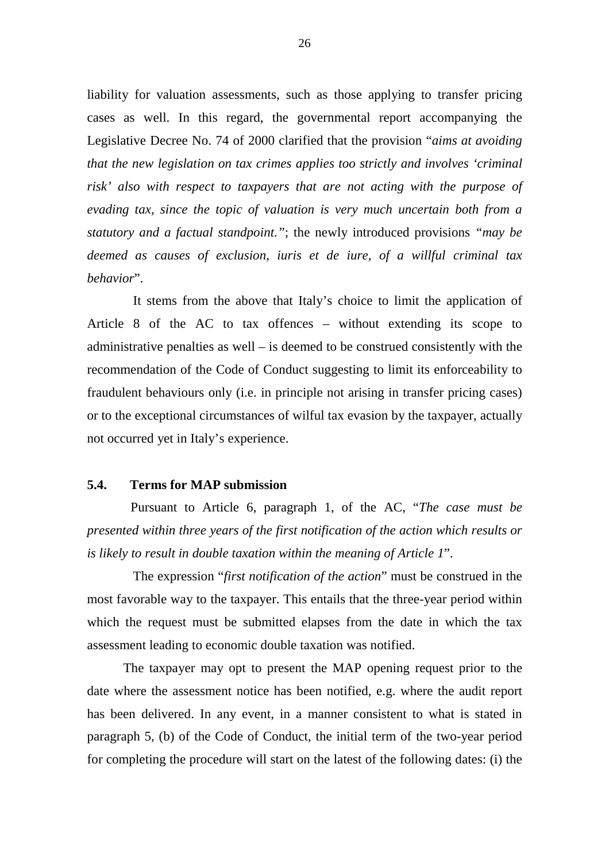liability for valuation assessments, such as those applying to transfer pricing cases as well. In this regard, the governmental report accompanying the Legislative Decree No. 74 of 2000 clarified that the provision "*aims at avoiding that the new legislation on tax crimes applies too strictly and involves 'criminal risk' also with respect to taxpayers that are not acting with the purpose of evading tax, since the topic of valuation is very much uncertain both from a statutory and a factual standpoint."*; the newly introduced provisions *"may be deemed as causes of exclusion, iuris et de iure, of a willful criminal tax behavior*".

It stems from the above that Italy's choice to limit the application of Article 8 of the AC to tax offences – without extending its scope to administrative penalties as well – is deemed to be construed consistently with the recommendation of the Code of Conduct suggesting to limit its enforceability to fraudulent behaviours only (i.e. in principle not arising in transfer pricing cases) or to the exceptional circumstances of wilful tax evasion by the taxpayer, actually not occurred yet in Italy's experience.

#### **5.4. Terms for MAP submission**

Pursuant to Article 6, paragraph 1, of the AC, "*The case must be presented within three years of the first notification of the action which results or is likely to result in double taxation within the meaning of Article 1*".

The expression "*first notification of the action*" must be construed in the most favorable way to the taxpayer. This entails that the three-year period within which the request must be submitted elapses from the date in which the tax assessment leading to economic double taxation was notified.

The taxpayer may opt to present the MAP opening request prior to the date where the assessment notice has been notified, e.g. where the audit report has been delivered. In any event, in a manner consistent to what is stated in paragraph 5, (b) of the Code of Conduct, the initial term of the two-year period for completing the procedure will start on the latest of the following dates: (i) the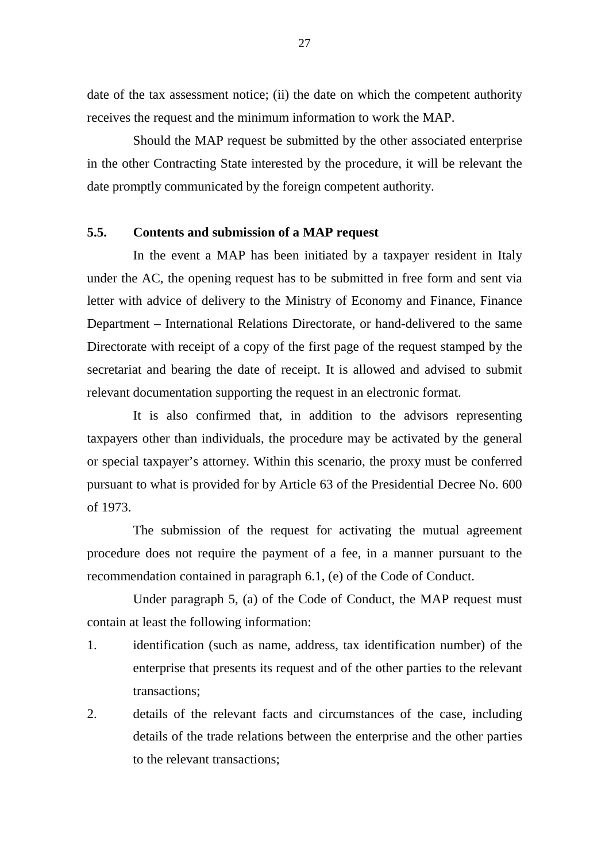date of the tax assessment notice; (ii) the date on which the competent authority receives the request and the minimum information to work the MAP.

Should the MAP request be submitted by the other associated enterprise in the other Contracting State interested by the procedure, it will be relevant the date promptly communicated by the foreign competent authority.

### **5.5. Contents and submission of a MAP request**

In the event a MAP has been initiated by a taxpayer resident in Italy under the AC, the opening request has to be submitted in free form and sent via letter with advice of delivery to the Ministry of Economy and Finance, Finance Department – International Relations Directorate, or hand-delivered to the same Directorate with receipt of a copy of the first page of the request stamped by the secretariat and bearing the date of receipt. It is allowed and advised to submit relevant documentation supporting the request in an electronic format.

It is also confirmed that, in addition to the advisors representing taxpayers other than individuals, the procedure may be activated by the general or special taxpayer's attorney. Within this scenario, the proxy must be conferred pursuant to what is provided for by Article 63 of the Presidential Decree No. 600 of 1973.

The submission of the request for activating the mutual agreement procedure does not require the payment of a fee, in a manner pursuant to the recommendation contained in paragraph 6.1, (e) of the Code of Conduct.

Under paragraph 5, (a) of the Code of Conduct, the MAP request must contain at least the following information:

- 1. identification (such as name, address, tax identification number) of the enterprise that presents its request and of the other parties to the relevant transactions;
- 2. details of the relevant facts and circumstances of the case, including details of the trade relations between the enterprise and the other parties to the relevant transactions;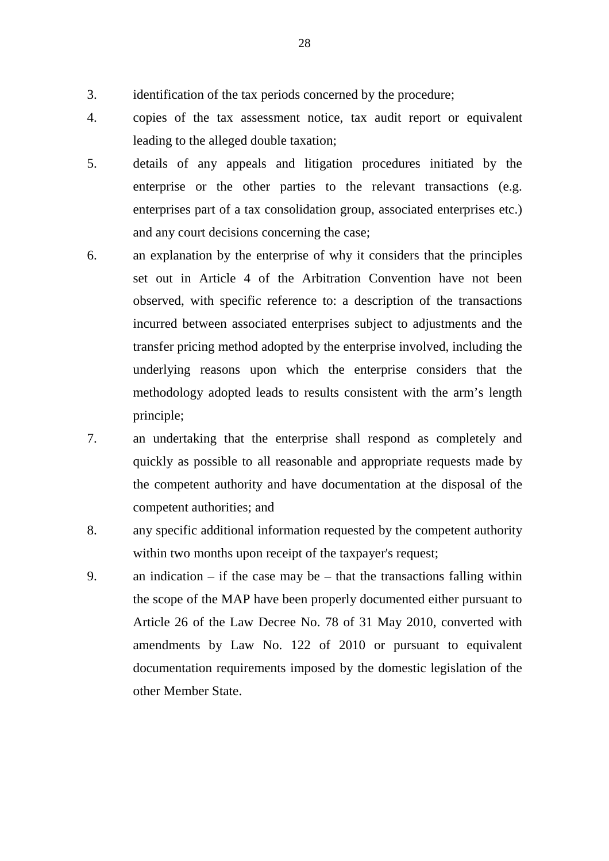- 3. identification of the tax periods concerned by the procedure;
- 4. copies of the tax assessment notice, tax audit report or equivalent leading to the alleged double taxation;
- 5. details of any appeals and litigation procedures initiated by the enterprise or the other parties to the relevant transactions (e.g. enterprises part of a tax consolidation group, associated enterprises etc.) and any court decisions concerning the case;
- 6. an explanation by the enterprise of why it considers that the principles set out in Article 4 of the Arbitration Convention have not been observed, with specific reference to: a description of the transactions incurred between associated enterprises subject to adjustments and the transfer pricing method adopted by the enterprise involved, including the underlying reasons upon which the enterprise considers that the methodology adopted leads to results consistent with the arm's length principle;
- 7. an undertaking that the enterprise shall respond as completely and quickly as possible to all reasonable and appropriate requests made by the competent authority and have documentation at the disposal of the competent authorities; and
- 8. any specific additional information requested by the competent authority within two months upon receipt of the taxpayer's request;
- 9. an indication if the case may be that the transactions falling within the scope of the MAP have been properly documented either pursuant to Article 26 of the Law Decree No. 78 of 31 May 2010, converted with amendments by Law No. 122 of 2010 or pursuant to equivalent documentation requirements imposed by the domestic legislation of the other Member State.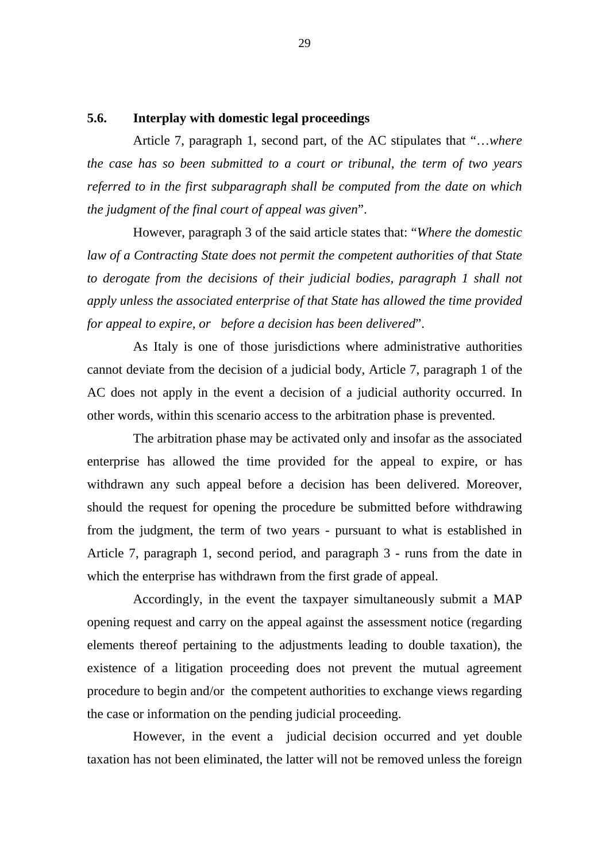### **5.6. Interplay with domestic legal proceedings**

Article 7, paragraph 1, second part, of the AC stipulates that "…*where the case has so been submitted to a court or tribunal, the term of two years referred to in the first subparagraph shall be computed from the date on which the judgment of the final court of appeal was given*".

However, paragraph 3 of the said article states that: "*Where the domestic law of a Contracting State does not permit the competent authorities of that State to derogate from the decisions of their judicial bodies, paragraph 1 shall not apply unless the associated enterprise of that State has allowed the time provided for appeal to expire, or before a decision has been delivered*".

As Italy is one of those jurisdictions where administrative authorities cannot deviate from the decision of a judicial body, Article 7, paragraph 1 of the AC does not apply in the event a decision of a judicial authority occurred. In other words, within this scenario access to the arbitration phase is prevented.

The arbitration phase may be activated only and insofar as the associated enterprise has allowed the time provided for the appeal to expire, or has withdrawn any such appeal before a decision has been delivered. Moreover, should the request for opening the procedure be submitted before withdrawing from the judgment, the term of two years - pursuant to what is established in Article 7, paragraph 1, second period, and paragraph 3 - runs from the date in which the enterprise has withdrawn from the first grade of appeal.

Accordingly, in the event the taxpayer simultaneously submit a MAP opening request and carry on the appeal against the assessment notice (regarding elements thereof pertaining to the adjustments leading to double taxation), the existence of a litigation proceeding does not prevent the mutual agreement procedure to begin and/or the competent authorities to exchange views regarding the case or information on the pending judicial proceeding.

However, in the event a judicial decision occurred and yet double taxation has not been eliminated, the latter will not be removed unless the foreign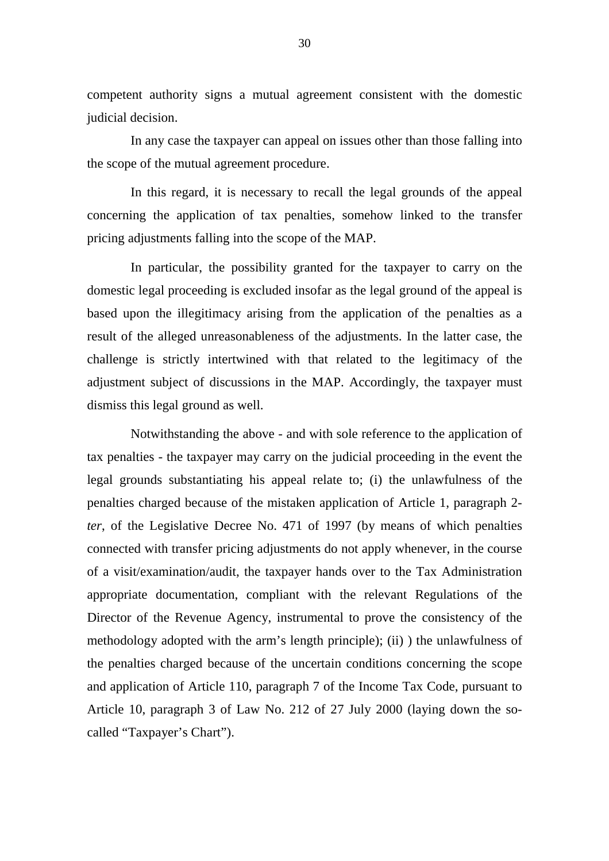competent authority signs a mutual agreement consistent with the domestic judicial decision.

In any case the taxpayer can appeal on issues other than those falling into the scope of the mutual agreement procedure.

In this regard, it is necessary to recall the legal grounds of the appeal concerning the application of tax penalties, somehow linked to the transfer pricing adjustments falling into the scope of the MAP.

In particular, the possibility granted for the taxpayer to carry on the domestic legal proceeding is excluded insofar as the legal ground of the appeal is based upon the illegitimacy arising from the application of the penalties as a result of the alleged unreasonableness of the adjustments. In the latter case, the challenge is strictly intertwined with that related to the legitimacy of the adjustment subject of discussions in the MAP. Accordingly, the taxpayer must dismiss this legal ground as well.

Notwithstanding the above - and with sole reference to the application of tax penalties - the taxpayer may carry on the judicial proceeding in the event the legal grounds substantiating his appeal relate to; (i) the unlawfulness of the penalties charged because of the mistaken application of Article 1, paragraph 2 *ter*, of the Legislative Decree No. 471 of 1997 (by means of which penalties connected with transfer pricing adjustments do not apply whenever, in the course of a visit/examination/audit, the taxpayer hands over to the Tax Administration appropriate documentation, compliant with the relevant Regulations of the Director of the Revenue Agency, instrumental to prove the consistency of the methodology adopted with the arm's length principle); (ii) ) the unlawfulness of the penalties charged because of the uncertain conditions concerning the scope and application of Article 110, paragraph 7 of the Income Tax Code, pursuant to Article 10, paragraph 3 of Law No. 212 of 27 July 2000 (laying down the socalled "Taxpayer's Chart").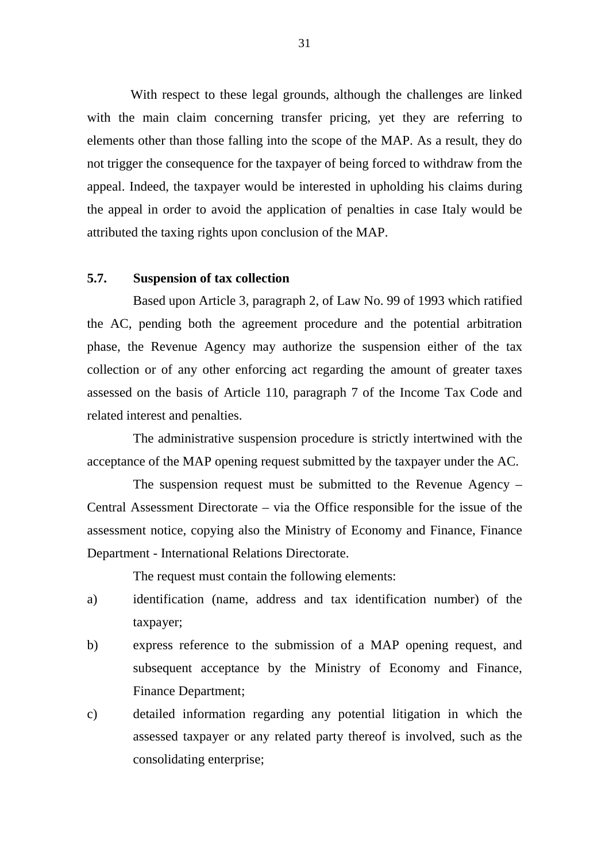With respect to these legal grounds, although the challenges are linked with the main claim concerning transfer pricing, yet they are referring to elements other than those falling into the scope of the MAP. As a result, they do not trigger the consequence for the taxpayer of being forced to withdraw from the appeal. Indeed, the taxpayer would be interested in upholding his claims during the appeal in order to avoid the application of penalties in case Italy would be attributed the taxing rights upon conclusion of the MAP.

#### **5.7. Suspension of tax collection**

Based upon Article 3, paragraph 2, of Law No. 99 of 1993 which ratified the AC, pending both the agreement procedure and the potential arbitration phase, the Revenue Agency may authorize the suspension either of the tax collection or of any other enforcing act regarding the amount of greater taxes assessed on the basis of Article 110, paragraph 7 of the Income Tax Code and related interest and penalties.

The administrative suspension procedure is strictly intertwined with the acceptance of the MAP opening request submitted by the taxpayer under the AC.

The suspension request must be submitted to the Revenue Agency – Central Assessment Directorate – via the Office responsible for the issue of the assessment notice, copying also the Ministry of Economy and Finance, Finance Department - International Relations Directorate.

The request must contain the following elements:

- a) identification (name, address and tax identification number) of the taxpayer;
- b) express reference to the submission of a MAP opening request, and subsequent acceptance by the Ministry of Economy and Finance, Finance Department;
- c) detailed information regarding any potential litigation in which the assessed taxpayer or any related party thereof is involved, such as the consolidating enterprise;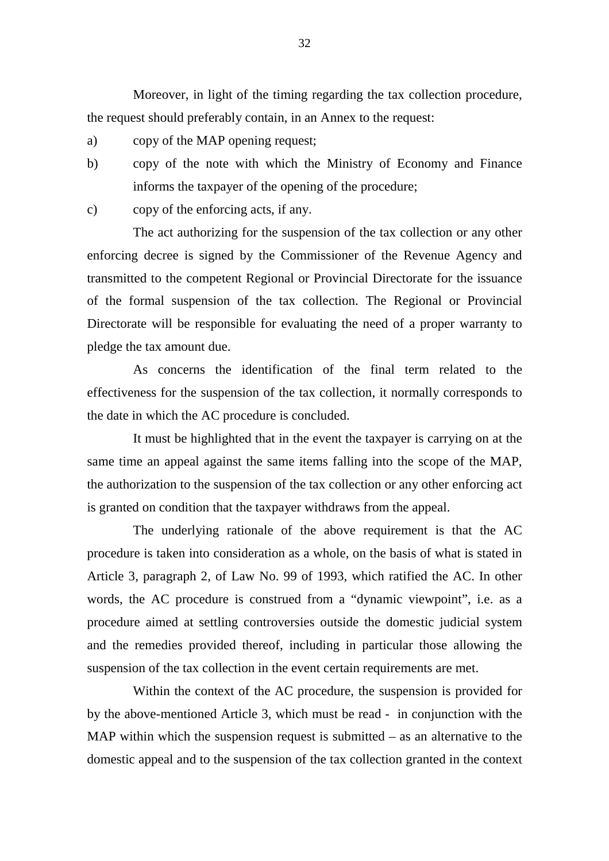Moreover, in light of the timing regarding the tax collection procedure, the request should preferably contain, in an Annex to the request:

- a) copy of the MAP opening request;
- b) copy of the note with which the Ministry of Economy and Finance informs the taxpayer of the opening of the procedure;

c) copy of the enforcing acts, if any.

The act authorizing for the suspension of the tax collection or any other enforcing decree is signed by the Commissioner of the Revenue Agency and transmitted to the competent Regional or Provincial Directorate for the issuance of the formal suspension of the tax collection. The Regional or Provincial Directorate will be responsible for evaluating the need of a proper warranty to pledge the tax amount due.

As concerns the identification of the final term related to the effectiveness for the suspension of the tax collection, it normally corresponds to the date in which the AC procedure is concluded.

It must be highlighted that in the event the taxpayer is carrying on at the same time an appeal against the same items falling into the scope of the MAP, the authorization to the suspension of the tax collection or any other enforcing act is granted on condition that the taxpayer withdraws from the appeal.

The underlying rationale of the above requirement is that the AC procedure is taken into consideration as a whole, on the basis of what is stated in Article 3, paragraph 2, of Law No. 99 of 1993, which ratified the AC. In other words, the AC procedure is construed from a "dynamic viewpoint", i.e. as a procedure aimed at settling controversies outside the domestic judicial system and the remedies provided thereof, including in particular those allowing the suspension of the tax collection in the event certain requirements are met.

Within the context of the AC procedure, the suspension is provided for by the above-mentioned Article 3, which must be read - in conjunction with the MAP within which the suspension request is submitted  $-$  as an alternative to the domestic appeal and to the suspension of the tax collection granted in the context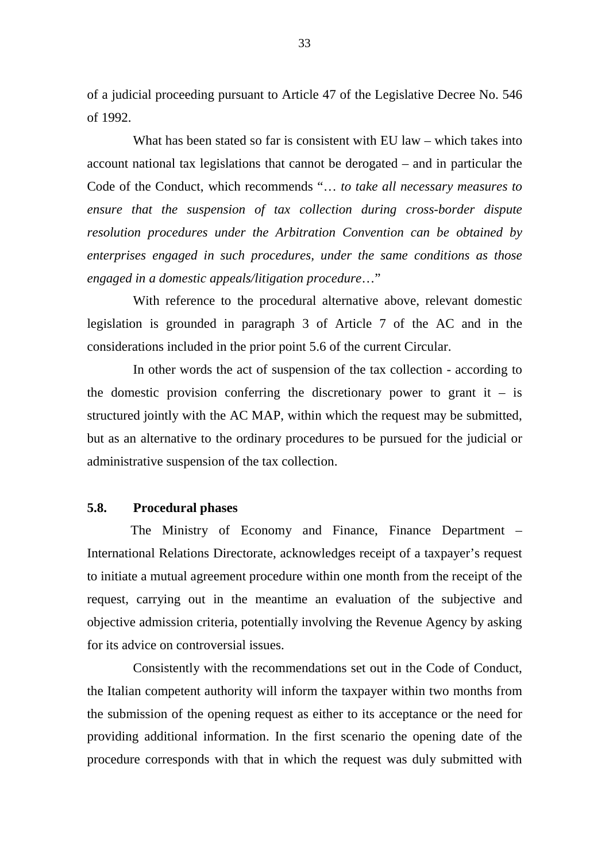of a judicial proceeding pursuant to Article 47 of the Legislative Decree No. 546 of 1992.

What has been stated so far is consistent with EU law – which takes into account national tax legislations that cannot be derogated – and in particular the Code of the Conduct, which recommends "… *to take all necessary measures to ensure that the suspension of tax collection during cross-border dispute resolution procedures under the Arbitration Convention can be obtained by enterprises engaged in such procedures, under the same conditions as those engaged in a domestic appeals/litigation procedure*…"

With reference to the procedural alternative above, relevant domestic legislation is grounded in paragraph 3 of Article 7 of the AC and in the considerations included in the prior point 5.6 of the current Circular.

In other words the act of suspension of the tax collection - according to the domestic provision conferring the discretionary power to grant it  $-$  is structured jointly with the AC MAP, within which the request may be submitted, but as an alternative to the ordinary procedures to be pursued for the judicial or administrative suspension of the tax collection.

#### **5.8. Procedural phases**

The Ministry of Economy and Finance, Finance Department – International Relations Directorate, acknowledges receipt of a taxpayer's request to initiate a mutual agreement procedure within one month from the receipt of the request, carrying out in the meantime an evaluation of the subjective and objective admission criteria, potentially involving the Revenue Agency by asking for its advice on controversial issues.

Consistently with the recommendations set out in the Code of Conduct, the Italian competent authority will inform the taxpayer within two months from the submission of the opening request as either to its acceptance or the need for providing additional information. In the first scenario the opening date of the procedure corresponds with that in which the request was duly submitted with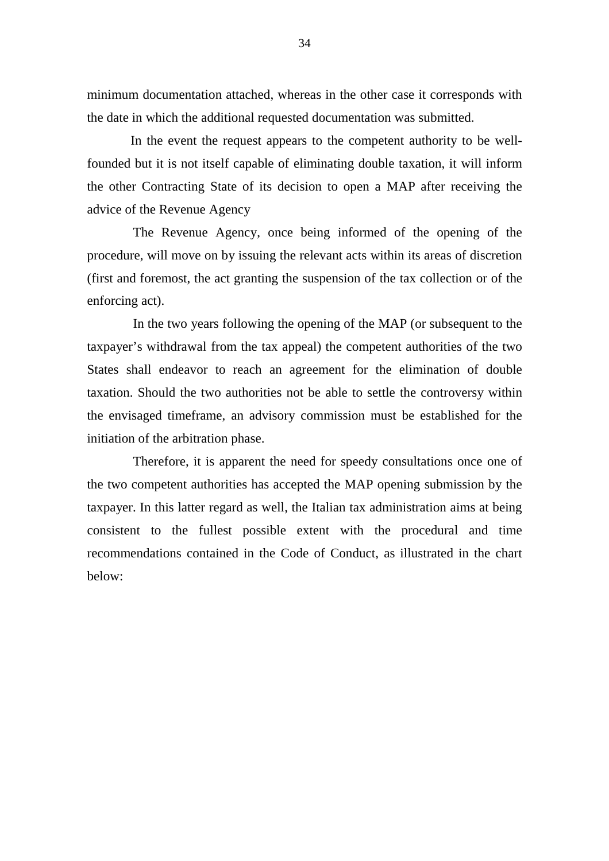minimum documentation attached, whereas in the other case it corresponds with the date in which the additional requested documentation was submitted.

In the event the request appears to the competent authority to be wellfounded but it is not itself capable of eliminating double taxation, it will inform the other Contracting State of its decision to open a MAP after receiving the advice of the Revenue Agency

The Revenue Agency, once being informed of the opening of the procedure, will move on by issuing the relevant acts within its areas of discretion (first and foremost, the act granting the suspension of the tax collection or of the enforcing act).

In the two years following the opening of the MAP (or subsequent to the taxpayer's withdrawal from the tax appeal) the competent authorities of the two States shall endeavor to reach an agreement for the elimination of double taxation. Should the two authorities not be able to settle the controversy within the envisaged timeframe, an advisory commission must be established for the initiation of the arbitration phase.

Therefore, it is apparent the need for speedy consultations once one of the two competent authorities has accepted the MAP opening submission by the taxpayer. In this latter regard as well, the Italian tax administration aims at being consistent to the fullest possible extent with the procedural and time recommendations contained in the Code of Conduct, as illustrated in the chart below: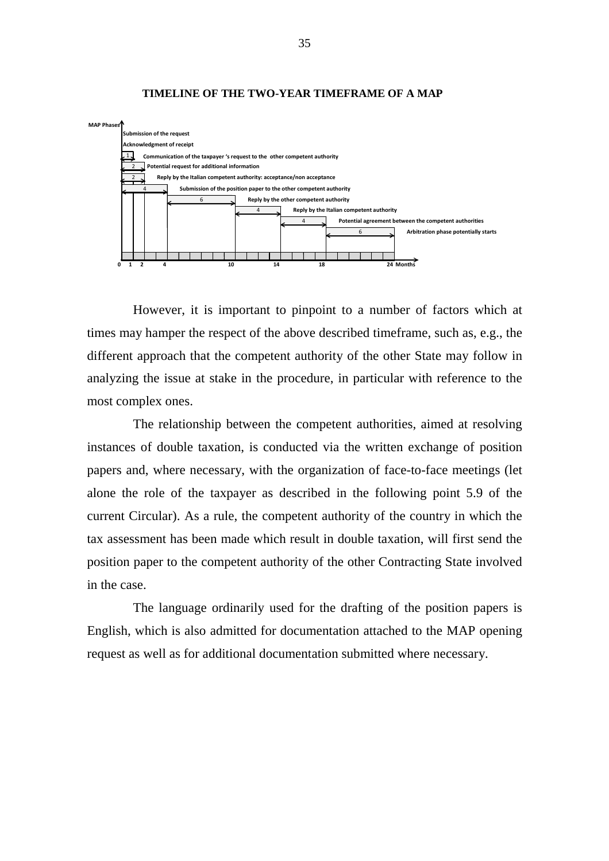

#### **TIMELINE OF THE TWO-YEAR TIMEFRAME OF A MAP**

However, it is important to pinpoint to a number of factors which at times may hamper the respect of the above described timeframe, such as, e.g., the different approach that the competent authority of the other State may follow in analyzing the issue at stake in the procedure, in particular with reference to the most complex ones.

The relationship between the competent authorities, aimed at resolving instances of double taxation, is conducted via the written exchange of position papers and, where necessary, with the organization of face-to-face meetings (let alone the role of the taxpayer as described in the following point 5.9 of the current Circular). As a rule, the competent authority of the country in which the tax assessment has been made which result in double taxation, will first send the position paper to the competent authority of the other Contracting State involved in the case.

The language ordinarily used for the drafting of the position papers is English, which is also admitted for documentation attached to the MAP opening request as well as for additional documentation submitted where necessary.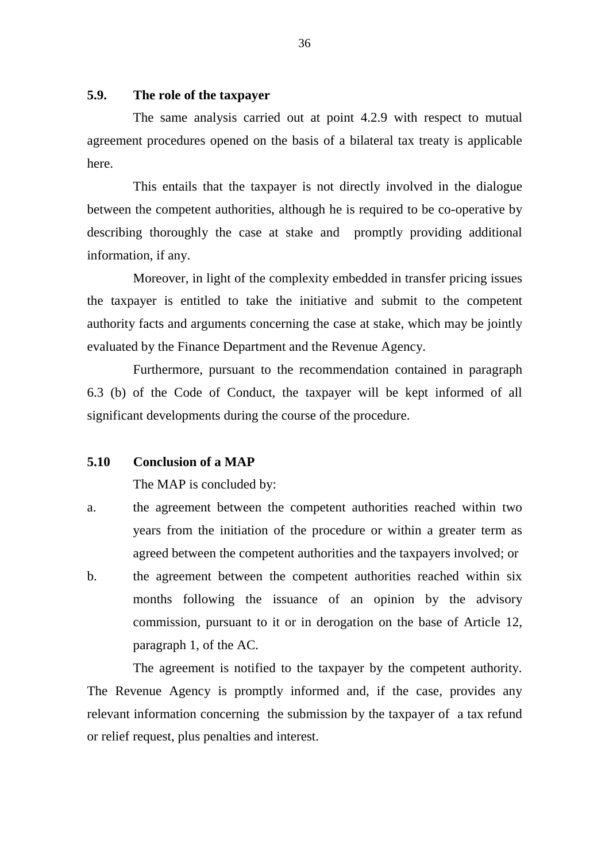## **5.9. The role of the taxpayer**

The same analysis carried out at point 4.2.9 with respect to mutual agreement procedures opened on the basis of a bilateral tax treaty is applicable here.

This entails that the taxpayer is not directly involved in the dialogue between the competent authorities, although he is required to be co-operative by describing thoroughly the case at stake and promptly providing additional information, if any.

Moreover, in light of the complexity embedded in transfer pricing issues the taxpayer is entitled to take the initiative and submit to the competent authority facts and arguments concerning the case at stake, which may be jointly evaluated by the Finance Department and the Revenue Agency.

Furthermore, pursuant to the recommendation contained in paragraph 6.3 (b) of the Code of Conduct, the taxpayer will be kept informed of all significant developments during the course of the procedure.

### **5.10 Conclusion of a MAP**

The MAP is concluded by:

- a. the agreement between the competent authorities reached within two years from the initiation of the procedure or within a greater term as agreed between the competent authorities and the taxpayers involved; or
- b. the agreement between the competent authorities reached within six months following the issuance of an opinion by the advisory commission, pursuant to it or in derogation on the base of Article 12, paragraph 1, of the AC.

The agreement is notified to the taxpayer by the competent authority. The Revenue Agency is promptly informed and, if the case, provides any relevant information concerning the submission by the taxpayer of a tax refund or relief request, plus penalties and interest.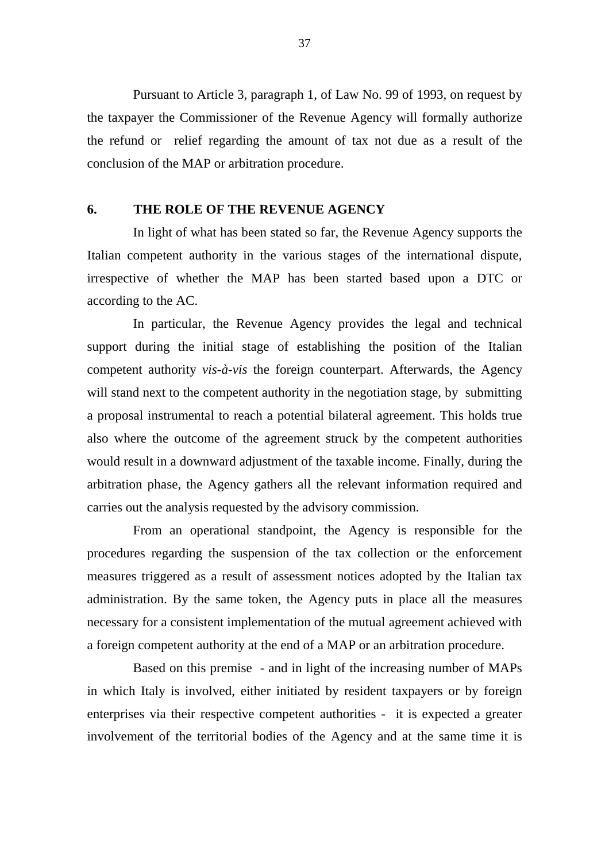Pursuant to Article 3, paragraph 1, of Law No. 99 of 1993, on request by the taxpayer the Commissioner of the Revenue Agency will formally authorize the refund or relief regarding the amount of tax not due as a result of the conclusion of the MAP or arbitration procedure.

### **6. THE ROLE OF THE REVENUE AGENCY**

In light of what has been stated so far, the Revenue Agency supports the Italian competent authority in the various stages of the international dispute, irrespective of whether the MAP has been started based upon a DTC or according to the AC.

In particular, the Revenue Agency provides the legal and technical support during the initial stage of establishing the position of the Italian competent authority *vis-à-vis* the foreign counterpart. Afterwards, the Agency will stand next to the competent authority in the negotiation stage, by submitting a proposal instrumental to reach a potential bilateral agreement. This holds true also where the outcome of the agreement struck by the competent authorities would result in a downward adjustment of the taxable income. Finally, during the arbitration phase, the Agency gathers all the relevant information required and carries out the analysis requested by the advisory commission.

From an operational standpoint, the Agency is responsible for the procedures regarding the suspension of the tax collection or the enforcement measures triggered as a result of assessment notices adopted by the Italian tax administration. By the same token, the Agency puts in place all the measures necessary for a consistent implementation of the mutual agreement achieved with a foreign competent authority at the end of a MAP or an arbitration procedure.

Based on this premise - and in light of the increasing number of MAPs in which Italy is involved, either initiated by resident taxpayers or by foreign enterprises via their respective competent authorities - it is expected a greater involvement of the territorial bodies of the Agency and at the same time it is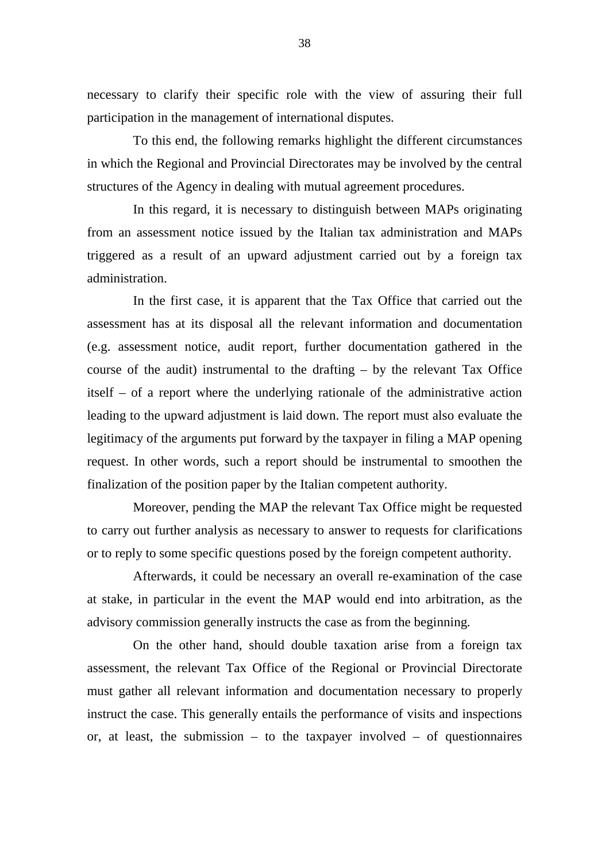necessary to clarify their specific role with the view of assuring their full participation in the management of international disputes.

To this end, the following remarks highlight the different circumstances in which the Regional and Provincial Directorates may be involved by the central structures of the Agency in dealing with mutual agreement procedures.

In this regard, it is necessary to distinguish between MAPs originating from an assessment notice issued by the Italian tax administration and MAPs triggered as a result of an upward adjustment carried out by a foreign tax administration.

In the first case, it is apparent that the Tax Office that carried out the assessment has at its disposal all the relevant information and documentation (e.g. assessment notice, audit report, further documentation gathered in the course of the audit) instrumental to the drafting – by the relevant Tax Office itself – of a report where the underlying rationale of the administrative action leading to the upward adjustment is laid down. The report must also evaluate the legitimacy of the arguments put forward by the taxpayer in filing a MAP opening request. In other words, such a report should be instrumental to smoothen the finalization of the position paper by the Italian competent authority.

Moreover, pending the MAP the relevant Tax Office might be requested to carry out further analysis as necessary to answer to requests for clarifications or to reply to some specific questions posed by the foreign competent authority.

Afterwards, it could be necessary an overall re-examination of the case at stake, in particular in the event the MAP would end into arbitration, as the advisory commission generally instructs the case as from the beginning*.*

On the other hand, should double taxation arise from a foreign tax assessment, the relevant Tax Office of the Regional or Provincial Directorate must gather all relevant information and documentation necessary to properly instruct the case. This generally entails the performance of visits and inspections or, at least, the submission – to the taxpayer involved – of questionnaires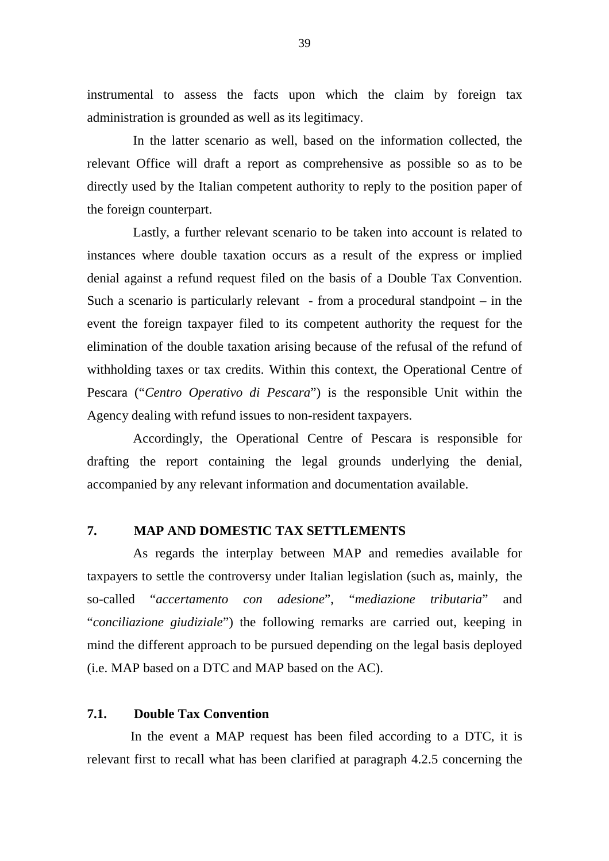instrumental to assess the facts upon which the claim by foreign tax administration is grounded as well as its legitimacy.

In the latter scenario as well, based on the information collected, the relevant Office will draft a report as comprehensive as possible so as to be directly used by the Italian competent authority to reply to the position paper of the foreign counterpart.

Lastly, a further relevant scenario to be taken into account is related to instances where double taxation occurs as a result of the express or implied denial against a refund request filed on the basis of a Double Tax Convention. Such a scenario is particularly relevant - from a procedural standpoint  $-$  in the event the foreign taxpayer filed to its competent authority the request for the elimination of the double taxation arising because of the refusal of the refund of withholding taxes or tax credits. Within this context, the Operational Centre of Pescara ("*Centro Operativo di Pescara*") is the responsible Unit within the Agency dealing with refund issues to non-resident taxpayers.

Accordingly, the Operational Centre of Pescara is responsible for drafting the report containing the legal grounds underlying the denial, accompanied by any relevant information and documentation available.

#### **7. MAP AND DOMESTIC TAX SETTLEMENTS**

As regards the interplay between MAP and remedies available for taxpayers to settle the controversy under Italian legislation (such as, mainly, the so-called "*accertamento con adesione*", "*mediazione tributaria*" and "*conciliazione giudiziale*") the following remarks are carried out, keeping in mind the different approach to be pursued depending on the legal basis deployed (i.e. MAP based on a DTC and MAP based on the AC).

### **7.1. Double Tax Convention**

In the event a MAP request has been filed according to a DTC, it is relevant first to recall what has been clarified at paragraph 4.2.5 concerning the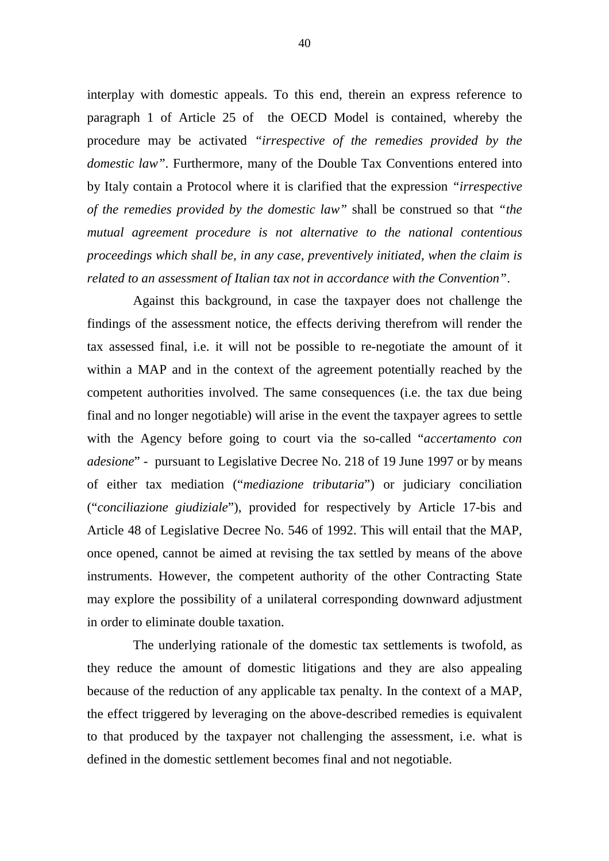interplay with domestic appeals. To this end, therein an express reference to paragraph 1 of Article 25 of the OECD Model is contained, whereby the procedure may be activated *"irrespective of the remedies provided by the domestic law"*. Furthermore, many of the Double Tax Conventions entered into by Italy contain a Protocol where it is clarified that the expression *"irrespective of the remedies provided by the domestic law"* shall be construed so that *"the mutual agreement procedure is not alternative to the national contentious proceedings which shall be, in any case, preventively initiated, when the claim is related to an assessment of Italian tax not in accordance with the Convention"*.

Against this background, in case the taxpayer does not challenge the findings of the assessment notice, the effects deriving therefrom will render the tax assessed final, i.e. it will not be possible to re-negotiate the amount of it within a MAP and in the context of the agreement potentially reached by the competent authorities involved. The same consequences (i.e. the tax due being final and no longer negotiable) will arise in the event the taxpayer agrees to settle with the Agency before going to court via the so-called "*accertamento con adesione*" - pursuant to Legislative Decree No. 218 of 19 June 1997 or by means of either tax mediation ("*mediazione tributaria*") or judiciary conciliation ("*conciliazione giudiziale*"), provided for respectively by Article 17-bis and Article 48 of Legislative Decree No. 546 of 1992. This will entail that the MAP, once opened, cannot be aimed at revising the tax settled by means of the above instruments. However, the competent authority of the other Contracting State may explore the possibility of a unilateral corresponding downward adjustment in order to eliminate double taxation.

The underlying rationale of the domestic tax settlements is twofold, as they reduce the amount of domestic litigations and they are also appealing because of the reduction of any applicable tax penalty. In the context of a MAP, the effect triggered by leveraging on the above-described remedies is equivalent to that produced by the taxpayer not challenging the assessment, i.e. what is defined in the domestic settlement becomes final and not negotiable.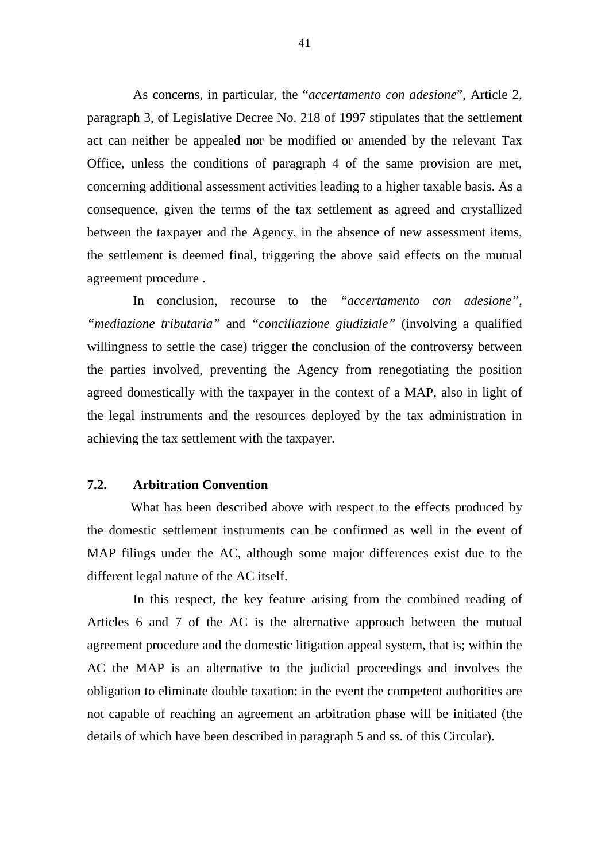As concerns, in particular, the "*accertamento con adesione*", Article 2, paragraph 3, of Legislative Decree No. 218 of 1997 stipulates that the settlement act can neither be appealed nor be modified or amended by the relevant Tax Office, unless the conditions of paragraph 4 of the same provision are met, concerning additional assessment activities leading to a higher taxable basis. As a consequence, given the terms of the tax settlement as agreed and crystallized between the taxpayer and the Agency, in the absence of new assessment items, the settlement is deemed final, triggering the above said effects on the mutual agreement procedure .

In conclusion, recourse to the *"accertamento con adesione"*, *"mediazione tributaria"* and *"conciliazione giudiziale"* (involving a qualified willingness to settle the case) trigger the conclusion of the controversy between the parties involved, preventing the Agency from renegotiating the position agreed domestically with the taxpayer in the context of a MAP, also in light of the legal instruments and the resources deployed by the tax administration in achieving the tax settlement with the taxpayer.

#### **7.2. Arbitration Convention**

What has been described above with respect to the effects produced by the domestic settlement instruments can be confirmed as well in the event of MAP filings under the AC, although some major differences exist due to the different legal nature of the AC itself.

In this respect, the key feature arising from the combined reading of Articles 6 and 7 of the AC is the alternative approach between the mutual agreement procedure and the domestic litigation appeal system, that is; within the AC the MAP is an alternative to the judicial proceedings and involves the obligation to eliminate double taxation: in the event the competent authorities are not capable of reaching an agreement an arbitration phase will be initiated (the details of which have been described in paragraph 5 and ss. of this Circular).